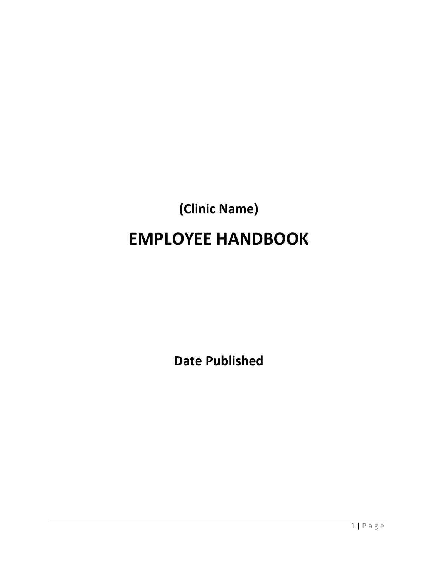# **(Clinic Name) EMPLOYEE HANDBOOK**

**Date Published**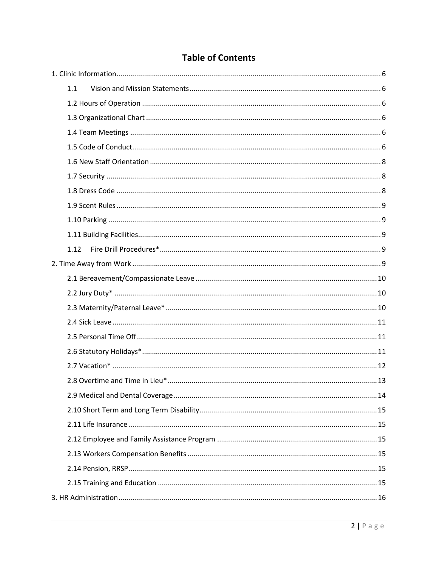# **Table of Contents**

| 1.1  |  |
|------|--|
|      |  |
|      |  |
|      |  |
|      |  |
|      |  |
|      |  |
|      |  |
|      |  |
|      |  |
|      |  |
| 1.12 |  |
|      |  |
|      |  |
|      |  |
|      |  |
|      |  |
|      |  |
|      |  |
|      |  |
|      |  |
|      |  |
|      |  |
|      |  |
|      |  |
|      |  |
|      |  |
|      |  |
|      |  |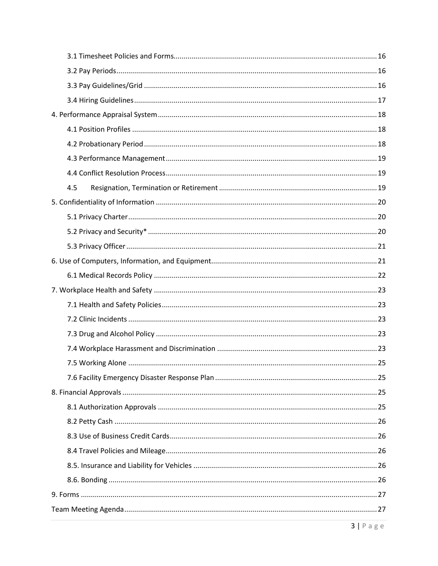| 4.5 |
|-----|
|     |
|     |
|     |
|     |
|     |
|     |
|     |
|     |
|     |
|     |
|     |
|     |
|     |
|     |
|     |
|     |
|     |
|     |
|     |
|     |
|     |
|     |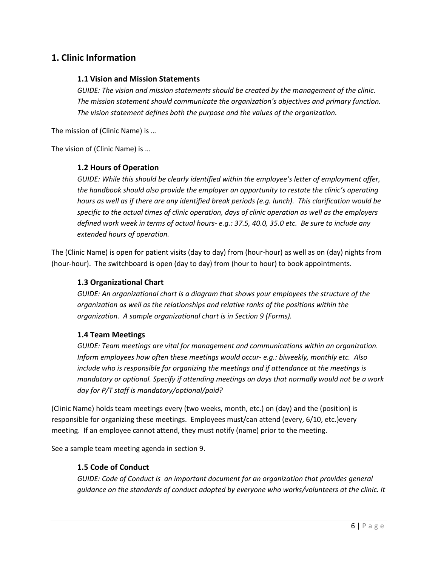# <span id="page-5-1"></span><span id="page-5-0"></span>**1. Clinic Information**

#### **1.1 Vision and Mission Statements**

*GUIDE: The vision and mission statements should be created by the management of the clinic. The mission statement should communicate the organization's objectives and primary function. The vision statement defines both the purpose and the values of the organization.*

The mission of (Clinic Name) is …

<span id="page-5-2"></span>The vision of (Clinic Name) is …

#### **1.2 Hours of Operation**

*GUIDE: While this should be clearly identified within the employee's letter of employment offer, the handbook should also provide the employer an opportunity to restate the clinic's operating hours as well as if there are any identified break periods (e.g. lunch). This clarification would be specific to the actual times of clinic operation, days of clinic operation as well as the employers defined work week in terms of actual hours- e.g.: 37.5, 40.0, 35.0 etc. Be sure to include any extended hours of operation.*

The (Clinic Name) is open for patient visits (day to day) from (hour-hour) as well as on (day) nights from (hour-hour). The switchboard is open (day to day) from (hour to hour) to book appointments.

#### <span id="page-5-3"></span>**1.3 Organizational Chart**

*GUIDE: An organizational chart is a diagram that shows your employees the structure of the organization as well as the relationships and relative ranks of the positions within the organization. A sample organizational chart is in Section 9 (Forms).*

#### <span id="page-5-4"></span>**1.4 Team Meetings**

*GUIDE: Team meetings are vital for management and communications within an organization. Inform employees how often these meetings would occur- e.g.: biweekly, monthly etc. Also include who is responsible for organizing the meetings and if attendance at the meetings is mandatory or optional. Specify if attending meetings on days that normally would not be a work day for P/T staff is mandatory/optional/paid?* 

(Clinic Name) holds team meetings every (two weeks, month, etc.) on (day) and the (position) is responsible for organizing these meetings. Employees must/can attend (every, 6/10, etc.)every meeting. If an employee cannot attend, they must notify (name) prior to the meeting.

<span id="page-5-5"></span>See a sample team meeting agenda in section 9.

#### **1.5 Code of Conduct**

*GUIDE: Code of Conduct is an important document for an organization that provides general guidance on the standards of conduct adopted by everyone who works/volunteers at the clinic. It*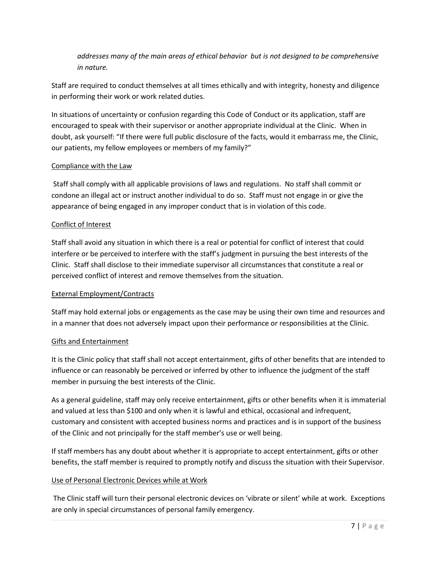*addresses many of the main areas of ethical behavior but is not designed to be comprehensive in nature.*

Staff are required to conduct themselves at all times ethically and with integrity, honesty and diligence in performing their work or work related duties.

In situations of uncertainty or confusion regarding this Code of Conduct or its application, staff are encouraged to speak with their supervisor or another appropriate individual at the Clinic. When in doubt, ask yourself: "If there were full public disclosure of the facts, would it embarrass me, the Clinic, our patients, my fellow employees or members of my family?"

#### Compliance with the Law

Staff shall comply with all applicable provisions of laws and regulations. No staff shall commit or condone an illegal act or instruct another individual to do so. Staff must not engage in or give the appearance of being engaged in any improper conduct that is in violation of this code.

#### Conflict of Interest

Staff shall avoid any situation in which there is a real or potential for conflict of interest that could interfere or be perceived to interfere with the staff's judgment in pursuing the best interests of the Clinic. Staff shall disclose to their immediate supervisor all circumstances that constitute a real or perceived conflict of interest and remove themselves from the situation.

#### External Employment/Contracts

Staff may hold external jobs or engagements as the case may be using their own time and resources and in a manner that does not adversely impact upon their performance or responsibilities at the Clinic.

#### Gifts and Entertainment

It is the Clinic policy that staff shall not accept entertainment, gifts of other benefits that are intended to influence or can reasonably be perceived or inferred by other to influence the judgment of the staff member in pursuing the best interests of the Clinic.

As a general guideline, staff may only receive entertainment, gifts or other benefits when it is immaterial and valued at less than \$100 and only when it is lawful and ethical, occasional and infrequent, customary and consistent with accepted business norms and practices and is in support of the business of the Clinic and not principally for the staff member's use or well being.

If staff members has any doubt about whether it is appropriate to accept entertainment, gifts or other benefits, the staff member is required to promptly notify and discuss the situation with their Supervisor.

#### Use of Personal Electronic Devices while at Work

The Clinic staff will turn their personal electronic devices on 'vibrate or silent' while at work. Exceptions are only in special circumstances of personal family emergency.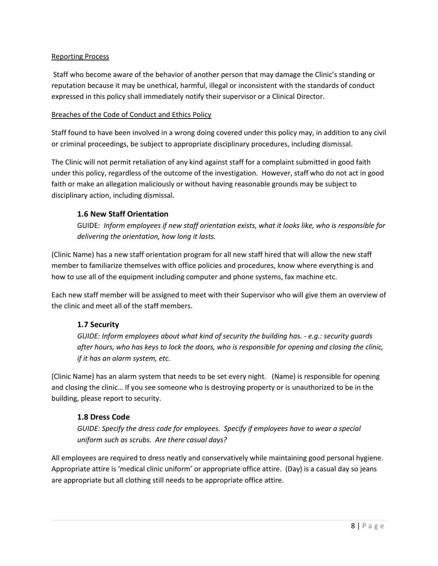#### Reporting Process

Staff who become aware of the behavior of another person that may damage the Clinic's standing or reputation because it may be unethical, harmful, illegal or inconsistent with the standards of conduct expressed in this policy shall immediately notify their supervisor or a Clinical Director.

#### Breaches of the Code of Conduct and Ethics Policy

Staff found to have been involved in a wrong doing covered under this policy may, in addition to any civil or criminal proceedings, be subject to appropriate disciplinary procedures, including dismissal.

The Clinic will not permit retaliation of any kind against staff for a complaint submitted in good faith under this policy, regardless of the outcome of the investigation. However, staff who do not act in good faith or make an allegation maliciously or without having reasonable grounds may be subject to disciplinary action, including dismissal.

#### <span id="page-7-0"></span>**1.6 New Staff Orientation**

GUIDE: *Inform employees if new staff orientation exists, what it looks like, who is responsible for delivering the orientation, how long it lasts.*

(Clinic Name) has a new staff orientation program for all new staff hired that will allow the new staff member to familiarize themselves with office policies and procedures, know where everything is and how to use all of the equipment including computer and phone systems, fax machine etc.

Each new staff member will be assigned to meet with their Supervisor who will give them an overview of the clinic and meet all of the staff members.

#### <span id="page-7-1"></span>**1.7 Security**

*GUIDE: Inform employees about what kind of security the building has. - e.g.: security guards after hours, who has keys to lock the doors, who is responsible for opening and closing the clinic, if it has an alarm system, etc.*

(Clinic Name) has an alarm system that needs to be set every night. (Name) is responsible for opening and closing the clinic… If you see someone who is destroying property or is unauthorized to be in the building, please report to security.

#### <span id="page-7-2"></span>**1.8 Dress Code**

*GUIDE: Specify the dress code for employees. Specify if employees have to wear a special uniform such as scrubs. Are there casual days?*

All employees are required to dress neatly and conservatively while maintaining good personal hygiene. Appropriate attire is 'medical clinic uniform' or appropriate office attire. (Day) is a casual day so jeans are appropriate but all clothing still needs to be appropriate office attire.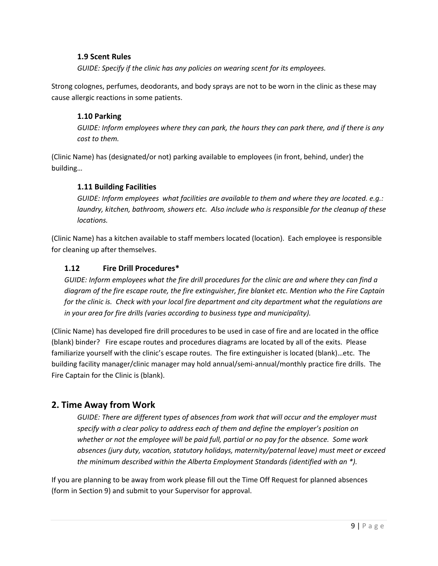#### <span id="page-8-0"></span>**1.9 Scent Rules**

*GUIDE: Specify if the clinic has any policies on wearing scent for its employees.*

Strong colognes, perfumes, deodorants, and body sprays are not to be worn in the clinic as these may cause allergic reactions in some patients.

#### <span id="page-8-1"></span>**1.10 Parking**

*GUIDE: Inform employees where they can park, the hours they can park there, and if there is any cost to them.*

(Clinic Name) has (designated/or not) parking available to employees (in front, behind, under) the building…

#### <span id="page-8-2"></span>**1.11 Building Facilities**

*GUIDE: Inform employees what facilities are available to them and where they are located. e.g.: laundry, kitchen, bathroom, showers etc. Also include who is responsible for the cleanup of these locations.*

(Clinic Name) has a kitchen available to staff members located (location). Each employee is responsible for cleaning up after themselves.

#### <span id="page-8-3"></span>**1.12 Fire Drill Procedures\***

*GUIDE: Inform employees what the fire drill procedures for the clinic are and where they can find a diagram of the fire escape route, the fire extinguisher, fire blanket etc. Mention who the Fire Captain for the clinic is. Check with your local fire department and city department what the regulations are in your area for fire drills (varies according to business type and municipality).*

(Clinic Name) has developed fire drill procedures to be used in case of fire and are located in the office (blank) binder? Fire escape routes and procedures diagrams are located by all of the exits. Please familiarize yourself with the clinic's escape routes. The fire extinguisher is located (blank)…etc. The building facility manager/clinic manager may hold annual/semi-annual/monthly practice fire drills. The Fire Captain for the Clinic is (blank).

# <span id="page-8-4"></span>**2. Time Away from Work**

*GUIDE: There are different types of absences from work that will occur and the employer must specify with a clear policy to address each of them and define the employer's position on whether or not the employee will be paid full, partial or no pay for the absence. Some work absences (jury duty, vacation, statutory holidays, maternity/paternal leave) must meet or exceed the minimum described within the Alberta Employment Standards (identified with an \*).*

If you are planning to be away from work please fill out the Time Off Request for planned absences (form in Section 9) and submit to your Supervisor for approval.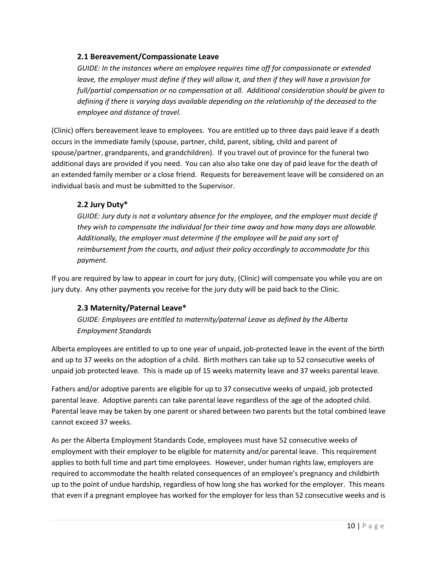#### <span id="page-9-0"></span>**2.1 Bereavement/Compassionate Leave**

*GUIDE: In the instances where an employee requires time off for compassionate or extended leave, the employer must define if they will allow it, and then if they will have a provision for full/partial compensation or no compensation at all. Additional consideration should be given to defining if there is varying days available depending on the relationship of the deceased to the employee and distance of travel.*

(Clinic) offers bereavement leave to employees. You are entitled up to three days paid leave if a death occurs in the immediate family (spouse, partner, child, parent, sibling, child and parent of spouse/partner, grandparents, and grandchildren). If you travel out of province for the funeral two additional days are provided if you need. You can also also take one day of paid leave for the death of an extended family member or a close friend. Requests for bereavement leave will be considered on an individual basis and must be submitted to the Supervisor.

#### <span id="page-9-1"></span>**2.2 Jury Duty\***

*GUIDE: Jury duty is not a voluntary absence for the employee, and the employer must decide if they wish to compensate the individual for their time away and how many days are allowable. Additionally, the employer must determine if the employee will be paid any sort of reimbursement from the courts, and adjust their policy accordingly to accommodate for this payment.*

If you are required by law to appear in court for jury duty, (Clinic) will compensate you while you are on jury duty. Any other payments you receive for the jury duty will be paid back to the Clinic.

#### <span id="page-9-2"></span>**2.3 Maternity/Paternal Leave\***

*GUIDE: Employees are entitled to maternity/paternal Leave as defined by the Alberta Employment Standards*

Alberta employees are entitled to up to one year of unpaid, job-protected leave in the event of the birth and up to 37 weeks on the adoption of a child. Birth mothers can take up to 52 consecutive weeks of unpaid job protected leave. This is made up of 15 weeks maternity leave and 37 weeks parental leave.

Fathers and/or adoptive parents are eligible for up to 37 consecutive weeks of unpaid, job protected parental leave. Adoptive parents can take parental leave regardless of the age of the adopted child. Parental leave may be taken by one parent or shared between two parents but the total combined leave cannot exceed 37 weeks.

As per the Alberta Employment Standards Code, employees must have 52 consecutive weeks of employment with their employer to be eligible for maternity and/or parental leave. This requirement applies to both full time and part time employees. However, under human rights law, employers are required to accommodate the health related consequences of an employee's pregnancy and childbirth up to the point of undue hardship, regardless of how long she has worked for the employer. This means that even if a pregnant employee has worked for the employer for less than 52 consecutive weeks and is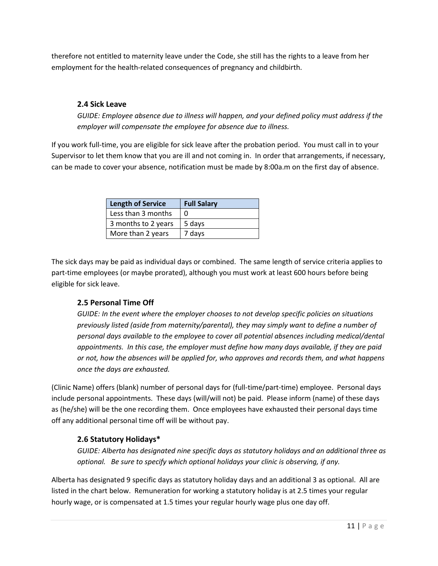therefore not entitled to maternity leave under the Code, she still has the rights to a leave from her employment for the health-related consequences of pregnancy and childbirth.

#### <span id="page-10-0"></span>**2.4 Sick Leave**

*GUIDE: Employee absence due to illness will happen, and your defined policy must address if the employer will compensate the employee for absence due to illness.* 

If you work full-time, you are eligible for sick leave after the probation period. You must call in to your Supervisor to let them know that you are ill and not coming in. In order that arrangements, if necessary, can be made to cover your absence, notification must be made by 8:00a.m on the first day of absence.

| <b>Length of Service</b> | <b>Full Salary</b> |
|--------------------------|--------------------|
| Less than 3 months       | n                  |
| 3 months to 2 years      | 5 days             |
| More than 2 years        | 7 days             |

The sick days may be paid as individual days or combined. The same length of service criteria applies to part-time employees (or maybe prorated), although you must work at least 600 hours before being eligible for sick leave.

# <span id="page-10-1"></span>**2.5 Personal Time Off**

*GUIDE: In the event where the employer chooses to not develop specific policies on situations previously listed (aside from maternity/parental), they may simply want to define a number of personal days available to the employee to cover all potential absences including medical/dental appointments. In this case, the employer must define how many days available, if they are paid or not, how the absences will be applied for, who approves and records them, and what happens once the days are exhausted.*

(Clinic Name) offers (blank) number of personal days for (full-time/part-time) employee. Personal days include personal appointments. These days (will/will not) be paid. Please inform (name) of these days as (he/she) will be the one recording them. Once employees have exhausted their personal days time off any additional personal time off will be without pay.

#### <span id="page-10-2"></span>**2.6 Statutory Holidays\***

*GUIDE: Alberta has designated nine specific days as statutory holidays and an additional three as optional. Be sure to specify which optional holidays your clinic is observing, if any.*

Alberta has designated 9 specific days as statutory holiday days and an additional 3 as optional. All are listed in the chart below. Remuneration for working a statutory holiday is at 2.5 times your regular hourly wage, or is compensated at 1.5 times your regular hourly wage plus one day off.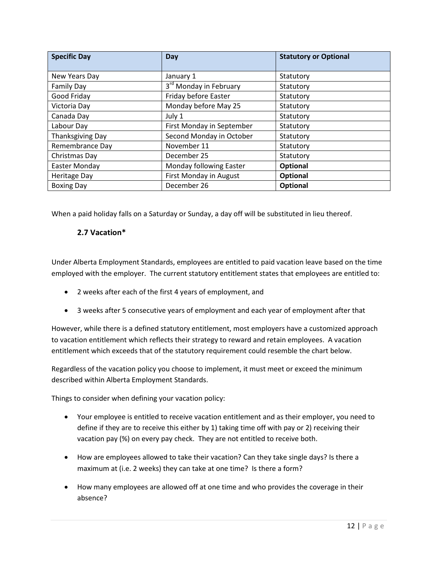| <b>Specific Day</b>     | Day                                | <b>Statutory or Optional</b> |
|-------------------------|------------------------------------|------------------------------|
| New Years Day           | January 1                          | Statutory                    |
| <b>Family Day</b>       | 3 <sup>rd</sup> Monday in February | Statutory                    |
| Good Friday             | Friday before Easter               | Statutory                    |
| Victoria Day            | Monday before May 25               | Statutory                    |
| Canada Day              | July 1                             | Statutory                    |
| Labour Day              | First Monday in September          | Statutory                    |
| <b>Thanksgiving Day</b> | Second Monday in October           | Statutory                    |
| Remembrance Day         | November 11                        | Statutory                    |
| Christmas Day           | December 25                        | Statutory                    |
| Easter Monday           | Monday following Easter            | Optional                     |
| <b>Heritage Day</b>     | First Monday in August             | Optional                     |
| <b>Boxing Day</b>       | December 26                        | Optional                     |

<span id="page-11-0"></span>When a paid holiday falls on a Saturday or Sunday, a day off will be substituted in lieu thereof.

#### **2.7 Vacation\***

Under Alberta Employment Standards, employees are entitled to paid vacation leave based on the time employed with the employer. The current statutory entitlement states that employees are entitled to:

- 2 weeks after each of the first 4 years of employment, and
- 3 weeks after 5 consecutive years of employment and each year of employment after that

However, while there is a defined statutory entitlement, most employers have a customized approach to vacation entitlement which reflects their strategy to reward and retain employees. A vacation entitlement which exceeds that of the statutory requirement could resemble the chart below.

Regardless of the vacation policy you choose to implement, it must meet or exceed the minimum described within Alberta Employment Standards.

Things to consider when defining your vacation policy:

- Your employee is entitled to receive vacation entitlement and as their employer, you need to define if they are to receive this either by 1) taking time off with pay or 2) receiving their vacation pay (%) on every pay check. They are not entitled to receive both.
- How are employees allowed to take their vacation? Can they take single days? Is there a maximum at (i.e. 2 weeks) they can take at one time? Is there a form?
- How many employees are allowed off at one time and who provides the coverage in their absence?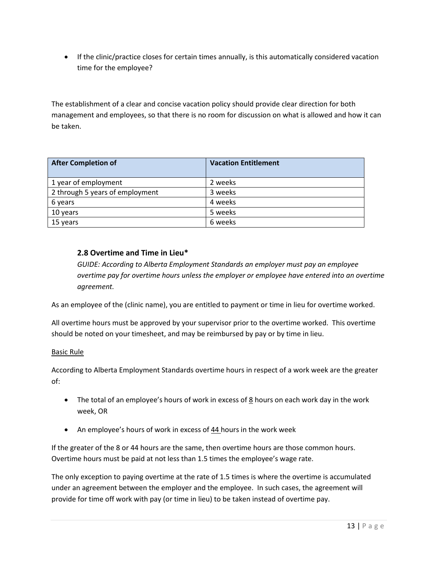• If the clinic/practice closes for certain times annually, is this automatically considered vacation time for the employee?

The establishment of a clear and concise vacation policy should provide clear direction for both management and employees, so that there is no room for discussion on what is allowed and how it can be taken.

| <b>After Completion of</b>      | <b>Vacation Entitlement</b> |
|---------------------------------|-----------------------------|
| 1 year of employment            | 2 weeks                     |
| 2 through 5 years of employment | 3 weeks                     |
| 6 years                         | 4 weeks                     |
| 10 years                        | 5 weeks                     |
| 15 years                        | 6 weeks                     |

#### <span id="page-12-0"></span>**2.8 Overtime and Time in Lieu\***

*GUIDE: According to Alberta Employment Standards an employer must pay an employee overtime pay for overtime hours unless the employer or employee have entered into an overtime agreement.*

As an employee of the (clinic name), you are entitled to payment or time in lieu for overtime worked.

All overtime hours must be approved by your supervisor prior to the overtime worked. This overtime should be noted on your timesheet, and may be reimbursed by pay or by time in lieu.

#### Basic Rule

According to Alberta Employment Standards overtime hours in respect of a work week are the greater of:

- The total of an employee's hours of work in excess of  $8$  hours on each work day in the work week, OR
- An employee's hours of work in excess of 44 hours in the work week

If the greater of the 8 or 44 hours are the same, then overtime hours are those common hours. Overtime hours must be paid at not less than 1.5 times the employee's wage rate.

The only exception to paying overtime at the rate of 1.5 times is where the overtime is accumulated under an agreement between the employer and the employee. In such cases, the agreement will provide for time off work with pay (or time in lieu) to be taken instead of overtime pay.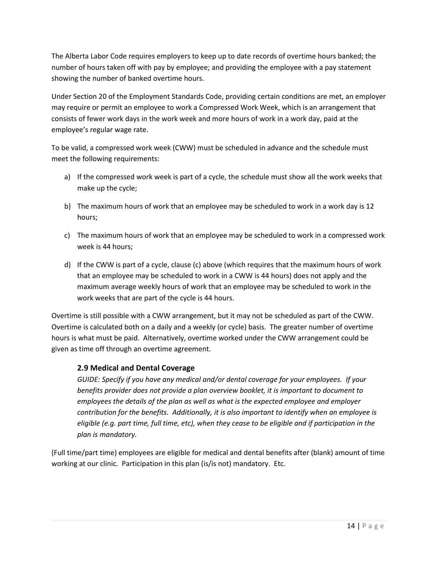The Alberta Labor Code requires employers to keep up to date records of overtime hours banked; the number of hours taken off with pay by employee; and providing the employee with a pay statement showing the number of banked overtime hours.

Under Section 20 of the Employment Standards Code, providing certain conditions are met, an employer may require or permit an employee to work a Compressed Work Week, which is an arrangement that consists of fewer work days in the work week and more hours of work in a work day, paid at the employee's regular wage rate.

To be valid, a compressed work week (CWW) must be scheduled in advance and the schedule must meet the following requirements:

- a) If the compressed work week is part of a cycle, the schedule must show all the work weeks that make up the cycle;
- b) The maximum hours of work that an employee may be scheduled to work in a work day is 12 hours;
- c) The maximum hours of work that an employee may be scheduled to work in a compressed work week is 44 hours;
- d) If the CWW is part of a cycle, clause (c) above (which requires that the maximum hours of work that an employee may be scheduled to work in a CWW is 44 hours) does not apply and the maximum average weekly hours of work that an employee may be scheduled to work in the work weeks that are part of the cycle is 44 hours.

Overtime is still possible with a CWW arrangement, but it may not be scheduled as part of the CWW. Overtime is calculated both on a daily and a weekly (or cycle) basis. The greater number of overtime hours is what must be paid. Alternatively, overtime worked under the CWW arrangement could be given as time off through an overtime agreement.

#### <span id="page-13-0"></span>**2.9 Medical and Dental Coverage**

*GUIDE: Specify if you have any medical and/or dental coverage for your employees. If your benefits provider does not provide a plan overview booklet, it is important to document to employees the details of the plan as well as what is the expected employee and employer contribution for the benefits. Additionally, it is also important to identify when an employee is eligible (e.g. part time, full time, etc), when they cease to be eligible and if participation in the plan is mandatory.* 

(Full time/part time) employees are eligible for medical and dental benefits after (blank) amount of time working at our clinic. Participation in this plan (is/is not) mandatory. Etc.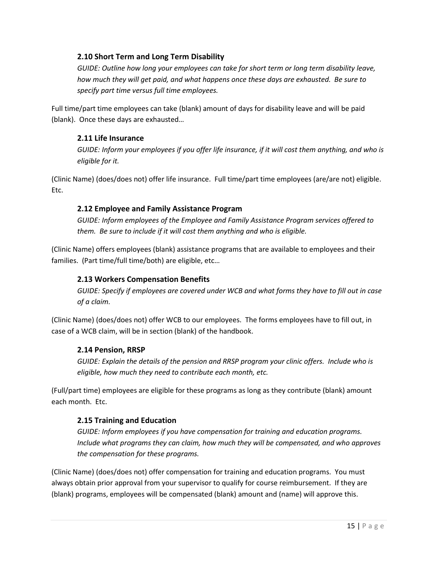#### <span id="page-14-0"></span>**2.10 Short Term and Long Term Disability**

*GUIDE: Outline how long your employees can take for short term or long term disability leave, how much they will get paid, and what happens once these days are exhausted. Be sure to specify part time versus full time employees.*

Full time/part time employees can take (blank) amount of days for disability leave and will be paid (blank). Once these days are exhausted…

#### <span id="page-14-1"></span>**2.11 Life Insurance**

*GUIDE: Inform your employees if you offer life insurance, if it will cost them anything, and who is eligible for it.*

(Clinic Name) (does/does not) offer life insurance. Full time/part time employees (are/are not) eligible. Etc.

#### <span id="page-14-2"></span>**2.12 Employee and Family Assistance Program**

*GUIDE: Inform employees of the Employee and Family Assistance Program services offered to them. Be sure to include if it will cost them anything and who is eligible.*

(Clinic Name) offers employees (blank) assistance programs that are available to employees and their families. (Part time/full time/both) are eligible, etc…

#### <span id="page-14-3"></span>**2.13 Workers Compensation Benefits**

*GUIDE: Specify if employees are covered under WCB and what forms they have to fill out in case of a claim.*

(Clinic Name) (does/does not) offer WCB to our employees. The forms employees have to fill out, in case of a WCB claim, will be in section (blank) of the handbook.

#### <span id="page-14-4"></span>**2.14 Pension, RRSP**

*GUIDE: Explain the details of the pension and RRSP program your clinic offers. Include who is eligible, how much they need to contribute each month, etc.*

(Full/part time) employees are eligible for these programs as long as they contribute (blank) amount each month. Etc.

#### <span id="page-14-5"></span>**2.15 Training and Education**

*GUIDE: Inform employees if you have compensation for training and education programs. Include what programs they can claim, how much they will be compensated, and who approves the compensation for these programs.*

(Clinic Name) (does/does not) offer compensation for training and education programs. You must always obtain prior approval from your supervisor to qualify for course reimbursement. If they are (blank) programs, employees will be compensated (blank) amount and (name) will approve this.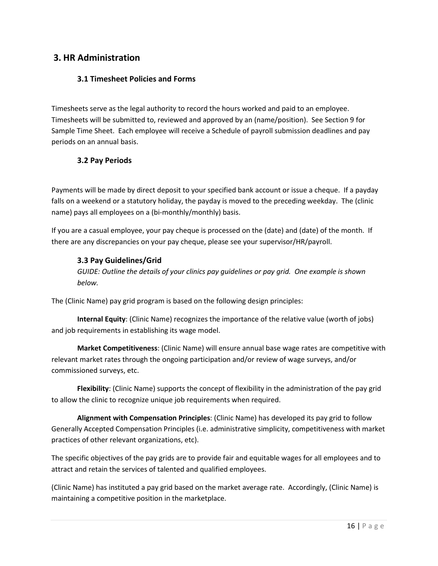# <span id="page-15-1"></span><span id="page-15-0"></span>**3. HR Administration**

#### **3.1 Timesheet Policies and Forms**

Timesheets serve as the legal authority to record the hours worked and paid to an employee. Timesheets will be submitted to, reviewed and approved by an (name/position). See Section 9 for Sample Time Sheet. Each employee will receive a Schedule of payroll submission deadlines and pay periods on an annual basis.

#### <span id="page-15-2"></span>**3.2 Pay Periods**

Payments will be made by direct deposit to your specified bank account or issue a cheque. If a payday falls on a weekend or a statutory holiday, the payday is moved to the preceding weekday. The (clinic name) pays all employees on a (bi-monthly/monthly) basis.

If you are a casual employee, your pay cheque is processed on the (date) and (date) of the month. If there are any discrepancies on your pay cheque, please see your supervisor/HR/payroll.

#### <span id="page-15-3"></span>**3.3 Pay Guidelines/Grid**

*GUIDE: Outline the details of your clinics pay guidelines or pay grid. One example is shown below.*

The (Clinic Name) pay grid program is based on the following design principles:

**Internal Equity**: (Clinic Name) recognizes the importance of the relative value (worth of jobs) and job requirements in establishing its wage model.

**Market Competitiveness**: (Clinic Name) will ensure annual base wage rates are competitive with relevant market rates through the ongoing participation and/or review of wage surveys, and/or commissioned surveys, etc.

**Flexibility**: (Clinic Name) supports the concept of flexibility in the administration of the pay grid to allow the clinic to recognize unique job requirements when required.

**Alignment with Compensation Principles**: (Clinic Name) has developed its pay grid to follow Generally Accepted Compensation Principles (i.e. administrative simplicity, competitiveness with market practices of other relevant organizations, etc).

The specific objectives of the pay grids are to provide fair and equitable wages for all employees and to attract and retain the services of talented and qualified employees.

(Clinic Name) has instituted a pay grid based on the market average rate. Accordingly, (Clinic Name) is maintaining a competitive position in the marketplace.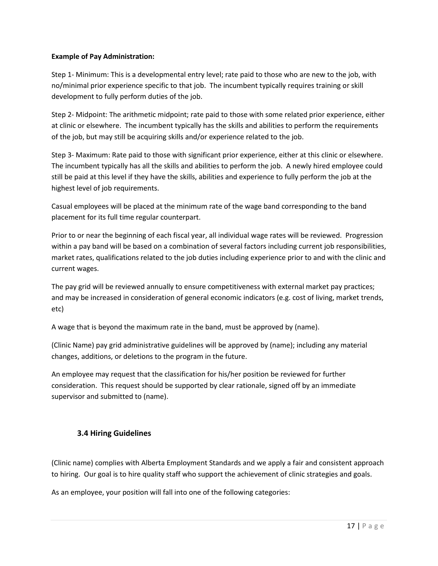#### **Example of Pay Administration:**

Step 1- Minimum: This is a developmental entry level; rate paid to those who are new to the job, with no/minimal prior experience specific to that job. The incumbent typically requires training or skill development to fully perform duties of the job.

Step 2- Midpoint: The arithmetic midpoint; rate paid to those with some related prior experience, either at clinic or elsewhere. The incumbent typically has the skills and abilities to perform the requirements of the job, but may still be acquiring skills and/or experience related to the job.

Step 3- Maximum: Rate paid to those with significant prior experience, either at this clinic or elsewhere. The incumbent typically has all the skills and abilities to perform the job. A newly hired employee could still be paid at this level if they have the skills, abilities and experience to fully perform the job at the highest level of job requirements.

Casual employees will be placed at the minimum rate of the wage band corresponding to the band placement for its full time regular counterpart.

Prior to or near the beginning of each fiscal year, all individual wage rates will be reviewed. Progression within a pay band will be based on a combination of several factors including current job responsibilities, market rates, qualifications related to the job duties including experience prior to and with the clinic and current wages.

The pay grid will be reviewed annually to ensure competitiveness with external market pay practices; and may be increased in consideration of general economic indicators (e.g. cost of living, market trends, etc)

A wage that is beyond the maximum rate in the band, must be approved by (name).

(Clinic Name) pay grid administrative guidelines will be approved by (name); including any material changes, additions, or deletions to the program in the future.

An employee may request that the classification for his/her position be reviewed for further consideration. This request should be supported by clear rationale, signed off by an immediate supervisor and submitted to (name).

#### <span id="page-16-0"></span>**3.4 Hiring Guidelines**

(Clinic name) complies with Alberta Employment Standards and we apply a fair and consistent approach to hiring. Our goal is to hire quality staff who support the achievement of clinic strategies and goals.

As an employee, your position will fall into one of the following categories: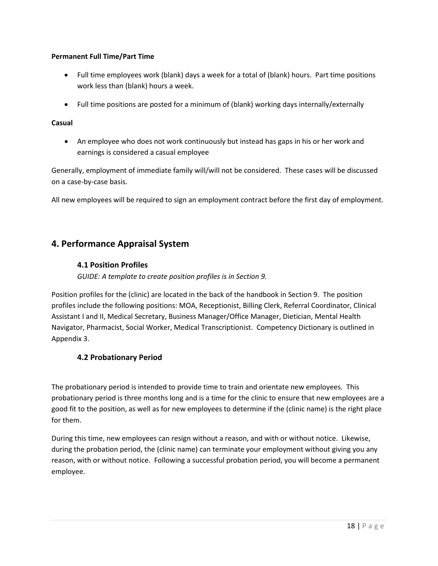#### **Permanent Full Time/Part Time**

- Full time employees work (blank) days a week for a total of (blank) hours. Part time positions work less than (blank) hours a week.
- Full time positions are posted for a minimum of (blank) working days internally/externally

#### **Casual**

• An employee who does not work continuously but instead has gaps in his or her work and earnings is considered a casual employee

Generally, employment of immediate family will/will not be considered. These cases will be discussed on a case-by-case basis.

All new employees will be required to sign an employment contract before the first day of employment.

# <span id="page-17-0"></span>**4. Performance Appraisal System**

#### <span id="page-17-1"></span>**4.1 Position Profiles**

*GUIDE: A template to create position profiles is in Section 9.*

Position profiles for the (clinic) are located in the back of the handbook in Section 9. The position profiles include the following positions: MOA, Receptionist, Billing Clerk, Referral Coordinator, Clinical Assistant I and II, Medical Secretary, Business Manager/Office Manager, Dietician, Mental Health Navigator, Pharmacist, Social Worker, Medical Transcriptionist. Competency Dictionary is outlined in Appendix 3.

#### <span id="page-17-2"></span>**4.2 Probationary Period**

The probationary period is intended to provide time to train and orientate new employees. This probationary period is three months long and is a time for the clinic to ensure that new employees are a good fit to the position, as well as for new employees to determine if the (clinic name) is the right place for them.

During this time, new employees can resign without a reason, and with or without notice. Likewise, during the probation period, the (clinic name) can terminate your employment without giving you any reason, with or without notice. Following a successful probation period, you will become a permanent employee.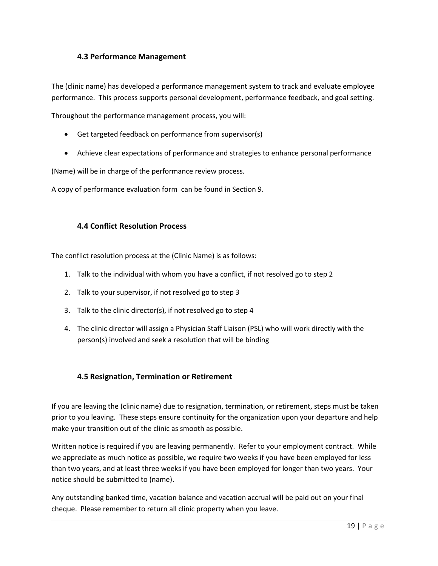#### <span id="page-18-0"></span>**4.3 Performance Management**

The (clinic name) has developed a performance management system to track and evaluate employee performance. This process supports personal development, performance feedback, and goal setting.

Throughout the performance management process, you will:

- Get targeted feedback on performance from supervisor(s)
- Achieve clear expectations of performance and strategies to enhance personal performance

(Name) will be in charge of the performance review process.

A copy of performance evaluation form can be found in Section 9.

#### <span id="page-18-1"></span>**4.4 Conflict Resolution Process**

The conflict resolution process at the (Clinic Name) is as follows:

- 1. Talk to the individual with whom you have a conflict, if not resolved go to step 2
- 2. Talk to your supervisor, if not resolved go to step 3
- 3. Talk to the clinic director(s), if not resolved go to step 4
- 4. The clinic director will assign a Physician Staff Liaison (PSL) who will work directly with the person(s) involved and seek a resolution that will be binding

#### <span id="page-18-2"></span>**4.5 Resignation, Termination or Retirement**

If you are leaving the (clinic name) due to resignation, termination, or retirement, steps must be taken prior to you leaving. These steps ensure continuity for the organization upon your departure and help make your transition out of the clinic as smooth as possible.

Written notice is required if you are leaving permanently. Refer to your employment contract. While we appreciate as much notice as possible, we require two weeks if you have been employed for less than two years, and at least three weeks if you have been employed for longer than two years. Your notice should be submitted to (name).

Any outstanding banked time, vacation balance and vacation accrual will be paid out on your final cheque. Please remember to return all clinic property when you leave.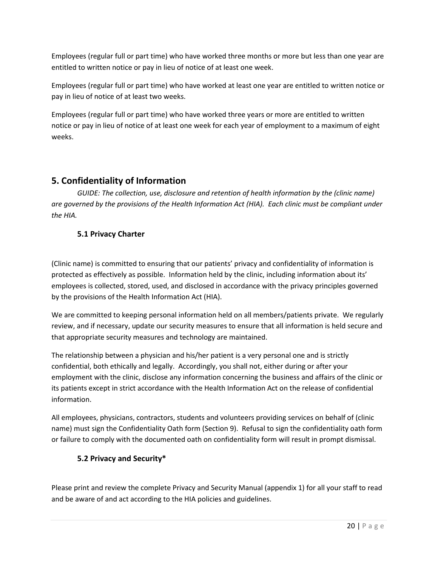Employees (regular full or part time) who have worked three months or more but less than one year are entitled to written notice or pay in lieu of notice of at least one week.

Employees (regular full or part time) who have worked at least one year are entitled to written notice or pay in lieu of notice of at least two weeks.

Employees (regular full or part time) who have worked three years or more are entitled to written notice or pay in lieu of notice of at least one week for each year of employment to a maximum of eight weeks.

# <span id="page-19-0"></span>**5. Confidentiality of Information**

*GUIDE: The collection, use, disclosure and retention of health information by the (clinic name) are governed by the provisions of the Health Information Act (HIA). Each clinic must be compliant under the HIA.*

# <span id="page-19-1"></span>**5.1 Privacy Charter**

(Clinic name) is committed to ensuring that our patients' privacy and confidentiality of information is protected as effectively as possible. Information held by the clinic, including information about its' employees is collected, stored, used, and disclosed in accordance with the privacy principles governed by the provisions of the Health Information Act (HIA).

We are committed to keeping personal information held on all members/patients private. We regularly review, and if necessary, update our security measures to ensure that all information is held secure and that appropriate security measures and technology are maintained.

The relationship between a physician and his/her patient is a very personal one and is strictly confidential, both ethically and legally. Accordingly, you shall not, either during or after your employment with the clinic, disclose any information concerning the business and affairs of the clinic or its patients except in strict accordance with the Health Information Act on the release of confidential information.

All employees, physicians, contractors, students and volunteers providing services on behalf of (clinic name) must sign the Confidentiality Oath form (Section 9). Refusal to sign the confidentiality oath form or failure to comply with the documented oath on confidentiality form will result in prompt dismissal.

# <span id="page-19-2"></span>**5.2 Privacy and Security\***

Please print and review the complete Privacy and Security Manual (appendix 1) for all your staff to read and be aware of and act according to the HIA policies and guidelines.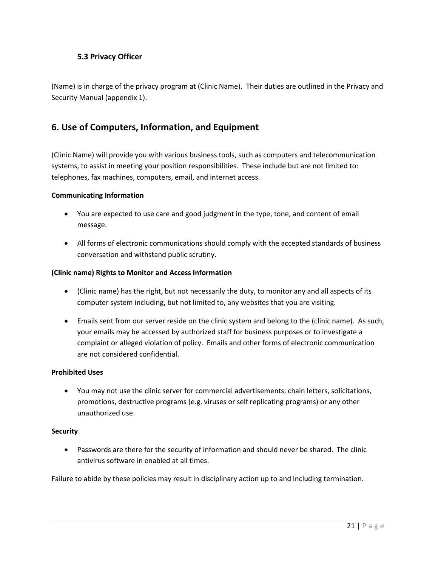#### <span id="page-20-0"></span>**5.3 Privacy Officer**

(Name) is in charge of the privacy program at (Clinic Name). Their duties are outlined in the Privacy and Security Manual (appendix 1).

# <span id="page-20-1"></span>**6. Use of Computers, Information, and Equipment**

(Clinic Name) will provide you with various business tools, such as computers and telecommunication systems, to assist in meeting your position responsibilities. These include but are not limited to: telephones, fax machines, computers, email, and internet access.

#### **Communicating Information**

- You are expected to use care and good judgment in the type, tone, and content of email message.
- All forms of electronic communications should comply with the accepted standards of business conversation and withstand public scrutiny.

#### **(Clinic name) Rights to Monitor and Access Information**

- (Clinic name) has the right, but not necessarily the duty, to monitor any and all aspects of its computer system including, but not limited to, any websites that you are visiting.
- Emails sent from our server reside on the clinic system and belong to the (clinic name). As such, your emails may be accessed by authorized staff for business purposes or to investigate a complaint or alleged violation of policy. Emails and other forms of electronic communication are not considered confidential.

#### **Prohibited Uses**

• You may not use the clinic server for commercial advertisements, chain letters, solicitations, promotions, destructive programs (e.g. viruses or self replicating programs) or any other unauthorized use.

#### **Security**

• Passwords are there for the security of information and should never be shared. The clinic antivirus software in enabled at all times.

Failure to abide by these policies may result in disciplinary action up to and including termination.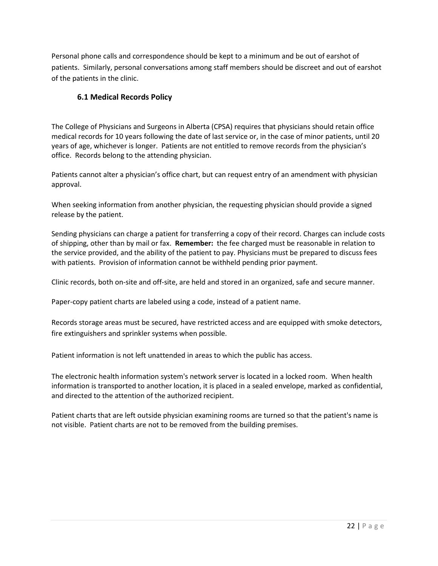Personal phone calls and correspondence should be kept to a minimum and be out of earshot of patients. Similarly, personal conversations among staff members should be discreet and out of earshot of the patients in the clinic.

#### <span id="page-21-0"></span>**6.1 Medical Records Policy**

The College of Physicians and Surgeons in Alberta (CPSA) requires that physicians should retain office medical records for 10 years following the date of last service or, in the case of minor patients, until 20 years of age, whichever is longer. Patients are not entitled to remove records from the physician's office. Records belong to the attending physician.

Patients cannot alter a physician's office chart, but can request entry of an amendment with physician approval.

When seeking information from another physician, the requesting physician should provide a signed release by the patient.

Sending physicians can charge a patient for transferring a copy of their record. Charges can include costs of shipping, other than by mail or fax. **Remember:** the fee charged must be reasonable in relation to the service provided, and the ability of the patient to pay. Physicians must be prepared to discuss fees with patients. Provision of information cannot be withheld pending prior payment.

Clinic records, both on-site and off-site, are held and stored in an organized, safe and secure manner.

Paper-copy patient charts are labeled using a code, instead of a patient name.

Records storage areas must be secured, have restricted access and are equipped with smoke detectors, fire extinguishers and sprinkler systems when possible.

Patient information is not left unattended in areas to which the public has access.

The electronic health information system's network server is located in a locked room. When health information is transported to another location, it is placed in a sealed envelope, marked as confidential, and directed to the attention of the authorized recipient.

Patient charts that are left outside physician examining rooms are turned so that the patient's name is not visible. Patient charts are not to be removed from the building premises.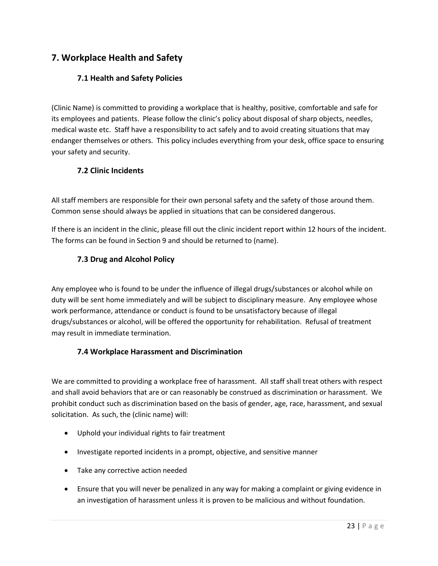# <span id="page-22-0"></span>**7. Workplace Health and Safety**

#### <span id="page-22-1"></span>**7.1 Health and Safety Policies**

(Clinic Name) is committed to providing a workplace that is healthy, positive, comfortable and safe for its employees and patients. Please follow the clinic's policy about disposal of sharp objects, needles, medical waste etc. Staff have a responsibility to act safely and to avoid creating situations that may endanger themselves or others. This policy includes everything from your desk, office space to ensuring your safety and security.

#### <span id="page-22-2"></span>**7.2 Clinic Incidents**

All staff members are responsible for their own personal safety and the safety of those around them. Common sense should always be applied in situations that can be considered dangerous.

If there is an incident in the clinic, please fill out the clinic incident report within 12 hours of the incident. The forms can be found in Section 9 and should be returned to (name).

#### <span id="page-22-3"></span>**7.3 Drug and Alcohol Policy**

Any employee who is found to be under the influence of illegal drugs/substances or alcohol while on duty will be sent home immediately and will be subject to disciplinary measure. Any employee whose work performance, attendance or conduct is found to be unsatisfactory because of illegal drugs/substances or alcohol, will be offered the opportunity for rehabilitation. Refusal of treatment may result in immediate termination.

#### <span id="page-22-4"></span>**7.4 Workplace Harassment and Discrimination**

We are committed to providing a workplace free of harassment. All staff shall treat others with respect and shall avoid behaviors that are or can reasonably be construed as discrimination or harassment. We prohibit conduct such as discrimination based on the basis of gender, age, race, harassment, and sexual solicitation. As such, the (clinic name) will:

- Uphold your individual rights to fair treatment
- Investigate reported incidents in a prompt, objective, and sensitive manner
- Take any corrective action needed
- Ensure that you will never be penalized in any way for making a complaint or giving evidence in an investigation of harassment unless it is proven to be malicious and without foundation.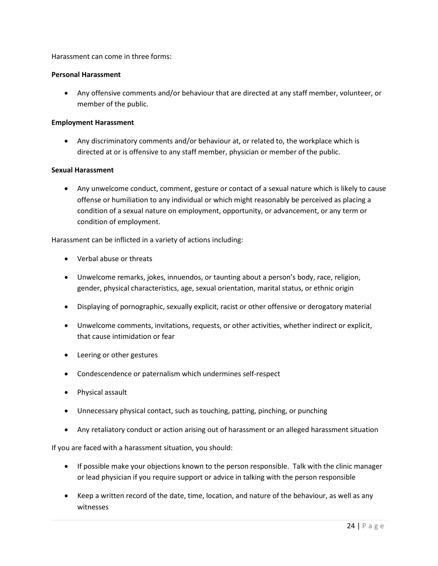Harassment can come in three forms:

#### **Personal Harassment**

• Any offensive comments and/or behaviour that are directed at any staff member, volunteer, or member of the public.

#### **Employment Harassment**

• Any discriminatory comments and/or behaviour at, or related to, the workplace which is directed at or is offensive to any staff member, physician or member of the public.

#### **Sexual Harassment**

• Any unwelcome conduct, comment, gesture or contact of a sexual nature which is likely to cause offense or humiliation to any individual or which might reasonably be perceived as placing a condition of a sexual nature on employment, opportunity, or advancement, or any term or condition of employment.

Harassment can be inflicted in a variety of actions including:

- Verbal abuse or threats
- Unwelcome remarks, jokes, innuendos, or taunting about a person's body, race, religion, gender, physical characteristics, age, sexual orientation, marital status, or ethnic origin
- Displaying of pornographic, sexually explicit, racist or other offensive or derogatory material
- Unwelcome comments, invitations, requests, or other activities, whether indirect or explicit, that cause intimidation or fear
- Leering or other gestures
- Condescendence or paternalism which undermines self-respect
- Physical assault
- Unnecessary physical contact, such as touching, patting, pinching, or punching
- Any retaliatory conduct or action arising out of harassment or an alleged harassment situation

If you are faced with a harassment situation, you should:

- If possible make your objections known to the person responsible. Talk with the clinic manager or lead physician if you require support or advice in talking with the person responsible
- Keep a written record of the date, time, location, and nature of the behaviour, as well as any witnesses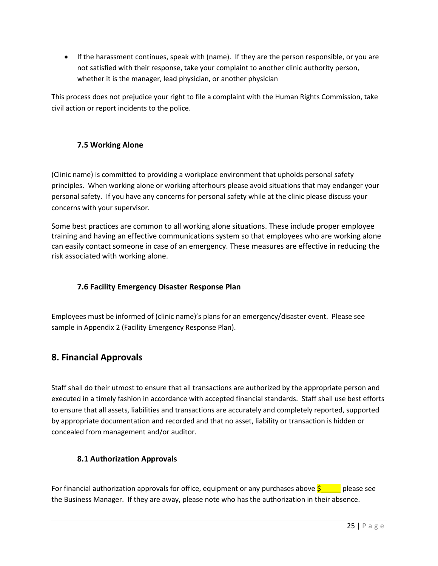• If the harassment continues, speak with (name). If they are the person responsible, or you are not satisfied with their response, take your complaint to another clinic authority person, whether it is the manager, lead physician, or another physician

This process does not prejudice your right to file a complaint with the Human Rights Commission, take civil action or report incidents to the police.

#### <span id="page-24-0"></span>**7.5 Working Alone**

(Clinic name) is committed to providing a workplace environment that upholds personal safety principles. When working alone or working afterhours please avoid situations that may endanger your personal safety. If you have any concerns for personal safety while at the clinic please discuss your concerns with your supervisor.

Some best practices are common to all working alone situations. These include proper employee training and having an effective communications system so that employees who are working alone can easily contact someone in case of an emergency. These measures are effective in reducing the risk associated with working alone.

### <span id="page-24-1"></span>**7.6 Facility Emergency Disaster Response Plan**

Employees must be informed of (clinic name)'s plans for an emergency/disaster event. Please see sample in Appendix 2 (Facility Emergency Response Plan).

# <span id="page-24-2"></span>**8. Financial Approvals**

Staff shall do their utmost to ensure that all transactions are authorized by the appropriate person and executed in a timely fashion in accordance with accepted financial standards. Staff shall use best efforts to ensure that all assets, liabilities and transactions are accurately and completely reported, supported by appropriate documentation and recorded and that no asset, liability or transaction is hidden or concealed from management and/or auditor.

#### <span id="page-24-3"></span>**8.1 Authorization Approvals**

For financial authorization approvals for office, equipment or any purchases above  $\frac{1}{5}$  elease see the Business Manager. If they are away, please note who has the authorization in their absence.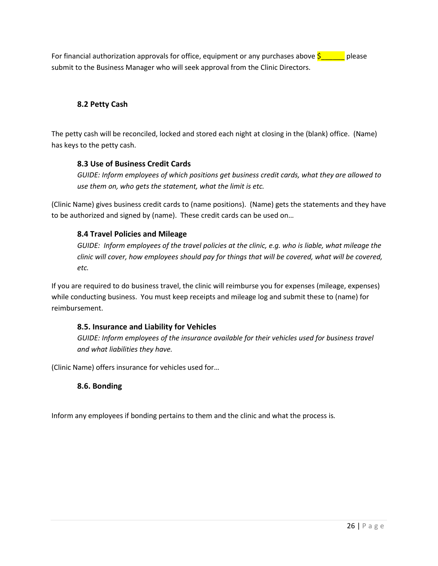For financial authorization approvals for office, equipment or any purchases above  $\zeta$  please submit to the Business Manager who will seek approval from the Clinic Directors.

#### <span id="page-25-0"></span>**8.2 Petty Cash**

The petty cash will be reconciled, locked and stored each night at closing in the (blank) office. (Name) has keys to the petty cash.

#### <span id="page-25-1"></span>**8.3 Use of Business Credit Cards**

*GUIDE: Inform employees of which positions get business credit cards, what they are allowed to use them on, who gets the statement, what the limit is etc.*

(Clinic Name) gives business credit cards to (name positions). (Name) gets the statements and they have to be authorized and signed by (name). These credit cards can be used on…

#### <span id="page-25-2"></span>**8.4 Travel Policies and Mileage**

*GUIDE: Inform employees of the travel policies at the clinic, e.g. who is liable, what mileage the clinic will cover, how employees should pay for things that will be covered, what will be covered, etc.*

If you are required to do business travel, the clinic will reimburse you for expenses (mileage, expenses) while conducting business. You must keep receipts and mileage log and submit these to (name) for reimbursement.

#### <span id="page-25-3"></span>**8.5. Insurance and Liability for Vehicles**

*GUIDE: Inform employees of the insurance available for their vehicles used for business travel and what liabilities they have.* 

<span id="page-25-4"></span>(Clinic Name) offers insurance for vehicles used for…

#### **8.6. Bonding**

Inform any employees if bonding pertains to them and the clinic and what the process is*.*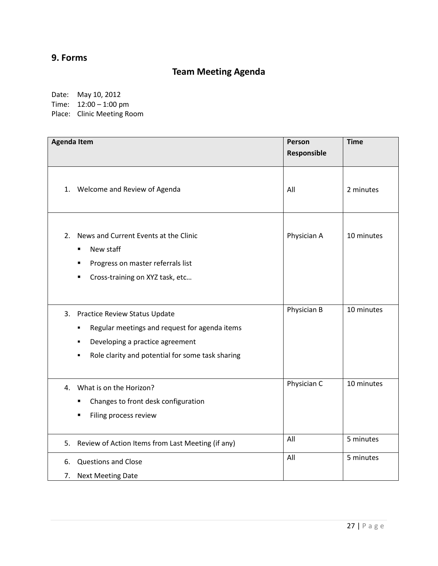# <span id="page-26-1"></span><span id="page-26-0"></span>**9. Forms**

# **Team Meeting Agenda**

Date: May 10, 2012

Time: 12:00 – 1:00 pm

Place: Clinic Meeting Room

| <b>Agenda Item</b>                                                                                                                                                                         | Person<br>Responsible | <b>Time</b> |
|--------------------------------------------------------------------------------------------------------------------------------------------------------------------------------------------|-----------------------|-------------|
| Welcome and Review of Agenda<br>1.                                                                                                                                                         | All                   | 2 minutes   |
| News and Current Events at the Clinic<br>2.<br>New staff<br>٠<br>Progress on master referrals list<br>Cross-training on XYZ task, etc<br>$\blacksquare$                                    | Physician A           | 10 minutes  |
| 3.<br>Practice Review Status Update<br>Regular meetings and request for agenda items<br>٠<br>Developing a practice agreement<br>٠<br>Role clarity and potential for some task sharing<br>٠ | Physician B           | 10 minutes  |
| What is on the Horizon?<br>4.<br>Changes to front desk configuration<br>$\blacksquare$<br>Filing process review                                                                            | Physician C           | 10 minutes  |
| 5.<br>Review of Action Items from Last Meeting (if any)                                                                                                                                    | All                   | 5 minutes   |
| <b>Questions and Close</b><br>6.<br>7.<br><b>Next Meeting Date</b>                                                                                                                         | All                   | 5 minutes   |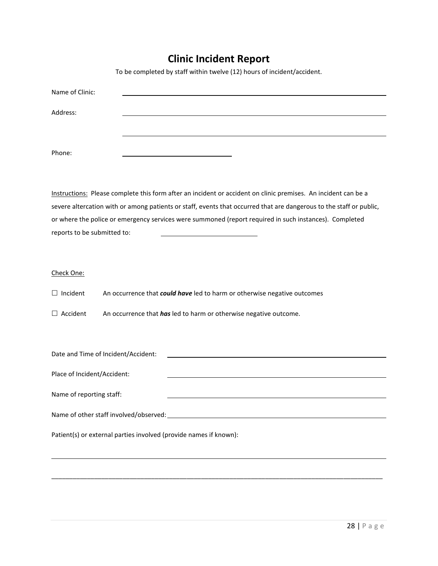# **Clinic Incident Report**

To be completed by staff within twelve (12) hours of incident/accident.

<span id="page-27-0"></span>

| Name of Clinic:             |                                                                                                                     |
|-----------------------------|---------------------------------------------------------------------------------------------------------------------|
| Address:                    |                                                                                                                     |
|                             |                                                                                                                     |
| Phone:                      |                                                                                                                     |
|                             | Instructions: Please complete this form after an incident or accident on clinic premises. An incident can be a      |
|                             | severe altercation with or among patients or staff, events that occurred that are dangerous to the staff or public, |
|                             | or where the police or emergency services were summoned (report required in such instances). Completed              |
| reports to be submitted to: |                                                                                                                     |
|                             |                                                                                                                     |
| Check One:                  |                                                                                                                     |
| $\Box$ Incident             | An occurrence that could have led to harm or otherwise negative outcomes                                            |
| $\Box$ Accident             | An occurrence that has led to harm or otherwise negative outcome.                                                   |
|                             |                                                                                                                     |
|                             | Date and Time of Incident/Accident:                                                                                 |
| Place of Incident/Accident: |                                                                                                                     |
| Name of reporting staff:    |                                                                                                                     |
|                             | Name of other staff involved/observed:<br>Name of other staff involved/observed:                                    |
|                             | Patient(s) or external parties involved (provide names if known):                                                   |
|                             |                                                                                                                     |

\_\_\_\_\_\_\_\_\_\_\_\_\_\_\_\_\_\_\_\_\_\_\_\_\_\_\_\_\_\_\_\_\_\_\_\_\_\_\_\_\_\_\_\_\_\_\_\_\_\_\_\_\_\_\_\_\_\_\_\_\_\_\_\_\_\_\_\_\_\_\_\_\_\_\_\_\_\_\_\_\_\_\_\_\_\_\_\_\_\_\_\_\_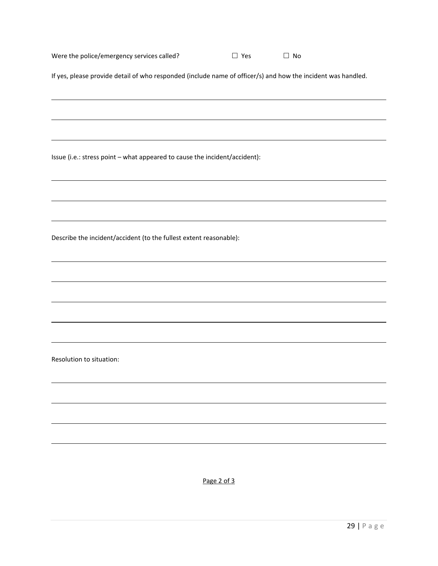| Were the police/emergency services called? | $\Box$ Yes | $\Box$ No |  |
|--------------------------------------------|------------|-----------|--|
|                                            |            |           |  |

If yes, please provide detail of who responded (include name of officer/s) and how the incident was handled.

Issue (i.e.: stress point – what appeared to cause the incident/accident):

Describe the incident/accident (to the fullest extent reasonable):

Resolution to situation:

Page 2 of 3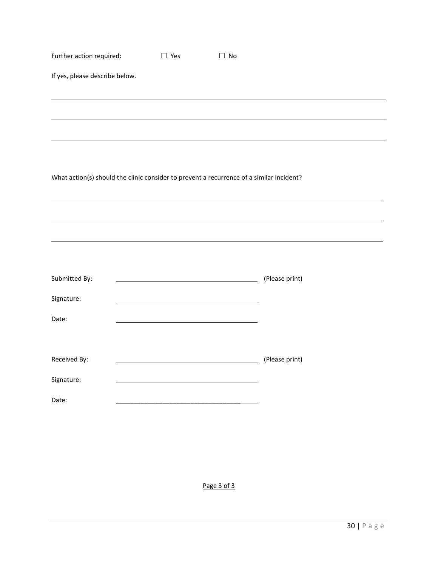| Further action required:                                                                 | $\square$ Yes | $\square$ No |                |
|------------------------------------------------------------------------------------------|---------------|--------------|----------------|
| If yes, please describe below.                                                           |               |              |                |
|                                                                                          |               |              |                |
|                                                                                          |               |              |                |
|                                                                                          |               |              |                |
|                                                                                          |               |              |                |
| What action(s) should the clinic consider to prevent a recurrence of a similar incident? |               |              |                |
|                                                                                          |               |              |                |
|                                                                                          |               |              |                |
|                                                                                          |               |              |                |
|                                                                                          |               |              |                |
|                                                                                          |               |              |                |
| Submitted By:                                                                            |               |              | (Please print) |
| Signature:                                                                               |               |              |                |
| Date:                                                                                    |               |              |                |
|                                                                                          |               |              |                |
| Received By:                                                                             |               |              | (Please print) |
| Signature:                                                                               |               |              |                |
| Date:                                                                                    |               |              |                |
|                                                                                          |               |              |                |

Page 3 of 3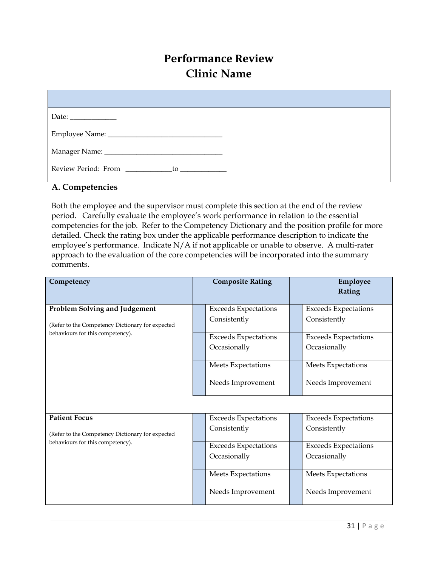# **Performance Review Clinic Name**

<span id="page-30-0"></span>

| Review Period: From ______________to ________________ |
|-------------------------------------------------------|

#### **A. Competencies**

Both the employee and the supervisor must complete this section at the end of the review period. Carefully evaluate the employee's work performance in relation to the essential competencies for the job. Refer to the Competency Dictionary and the position profile for more detailed. Check the rating box under the applicable performance description to indicate the employee's performance. Indicate N/A if not applicable or unable to observe. A multi-rater approach to the evaluation of the core competencies will be incorporated into the summary comments.

| Competency                                                                               | <b>Composite Rating</b>                     | Employee<br>Rating                          |
|------------------------------------------------------------------------------------------|---------------------------------------------|---------------------------------------------|
| <b>Problem Solving and Judgement</b><br>(Refer to the Competency Dictionary for expected | <b>Exceeds Expectations</b><br>Consistently | <b>Exceeds Expectations</b><br>Consistently |
| behaviours for this competency).                                                         | <b>Exceeds Expectations</b><br>Occasionally | <b>Exceeds Expectations</b><br>Occasionally |
|                                                                                          | Meets Expectations                          | Meets Expectations                          |
|                                                                                          | Needs Improvement                           | Needs Improvement                           |
|                                                                                          |                                             |                                             |
| <b>Patient Focus</b><br>(Refer to the Competency Dictionary for expected                 | <b>Exceeds Expectations</b><br>Consistently | <b>Exceeds Expectations</b><br>Consistently |
| behaviours for this competency).                                                         | <b>Exceeds Expectations</b><br>Occasionally | <b>Exceeds Expectations</b><br>Occasionally |
|                                                                                          | Meets Expectations                          | Meets Expectations                          |
|                                                                                          | Needs Improvement                           | Needs Improvement                           |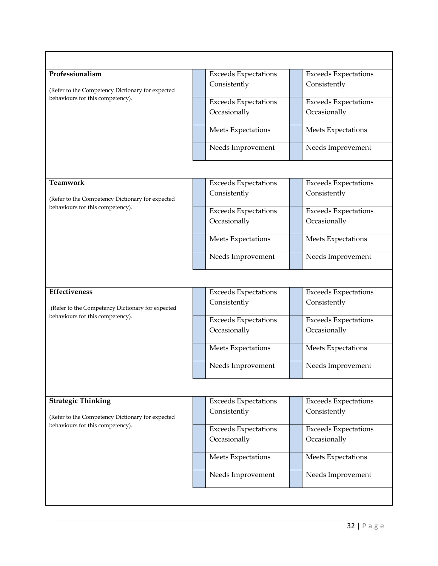| Professionalism                                                                      | <b>Exceeds Expectations</b> | <b>Exceeds Expectations</b> |
|--------------------------------------------------------------------------------------|-----------------------------|-----------------------------|
| (Refer to the Competency Dictionary for expected<br>behaviours for this competency). | Consistently                | Consistently                |
|                                                                                      | <b>Exceeds Expectations</b> | <b>Exceeds Expectations</b> |
|                                                                                      | Occasionally                | Occasionally                |
|                                                                                      | Meets Expectations          | Meets Expectations          |
|                                                                                      | Needs Improvement           | Needs Improvement           |
|                                                                                      |                             |                             |
| <b>Teamwork</b>                                                                      | <b>Exceeds Expectations</b> | <b>Exceeds Expectations</b> |
| (Refer to the Competency Dictionary for expected                                     | Consistently                | Consistently                |
| behaviours for this competency).                                                     | <b>Exceeds Expectations</b> | <b>Exceeds Expectations</b> |
|                                                                                      | Occasionally                | Occasionally                |
|                                                                                      | Meets Expectations          | Meets Expectations          |
|                                                                                      | Needs Improvement           | Needs Improvement           |
|                                                                                      |                             |                             |
| <b>Effectiveness</b>                                                                 | <b>Exceeds Expectations</b> | <b>Exceeds Expectations</b> |
| (Refer to the Competency Dictionary for expected                                     | Consistently                | Consistently                |
| behaviours for this competency).                                                     | <b>Exceeds Expectations</b> | <b>Exceeds Expectations</b> |
|                                                                                      | Occasionally                | Occasionally                |
|                                                                                      | Meets Expectations          | Meets Expectations          |
|                                                                                      | Needs Improvement           | Needs Improvement           |
|                                                                                      |                             |                             |
| <b>Strategic Thinking</b>                                                            | <b>Exceeds Expectations</b> | <b>Exceeds Expectations</b> |
| (Refer to the Competency Dictionary for expected<br>behaviours for this competency). | Consistently                | Consistently                |
|                                                                                      | <b>Exceeds Expectations</b> | <b>Exceeds Expectations</b> |
|                                                                                      | Occasionally                | Occasionally                |
|                                                                                      | Meets Expectations          | Meets Expectations          |
|                                                                                      | Needs Improvement           | Needs Improvement           |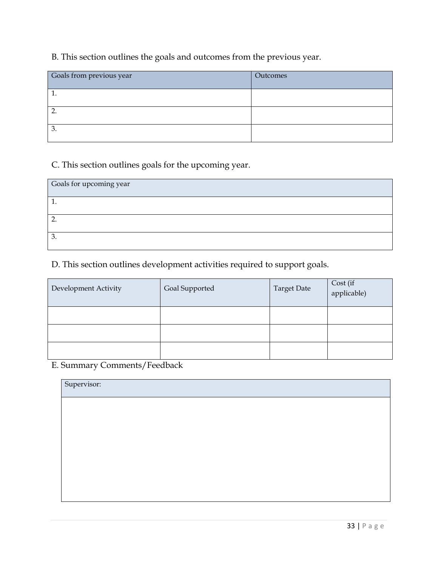# B. This section outlines the goals and outcomes from the previous year.

| Goals from previous year | Outcomes |
|--------------------------|----------|
|                          |          |
|                          |          |
| Ć.                       |          |

# C. This section outlines goals for the upcoming year.

| Goals for upcoming year |  |
|-------------------------|--|
| <b>.</b>                |  |
|                         |  |
| Ć.                      |  |

# D. This section outlines development activities required to support goals.

| Development Activity | Goal Supported | <b>Target Date</b> | Cost (if<br>applicable) |
|----------------------|----------------|--------------------|-------------------------|
|                      |                |                    |                         |
|                      |                |                    |                         |
|                      |                |                    |                         |

# E. Summary Comments/Feedback

| Supervisor: |  |  |  |
|-------------|--|--|--|
|             |  |  |  |
|             |  |  |  |
|             |  |  |  |
|             |  |  |  |
|             |  |  |  |
|             |  |  |  |
|             |  |  |  |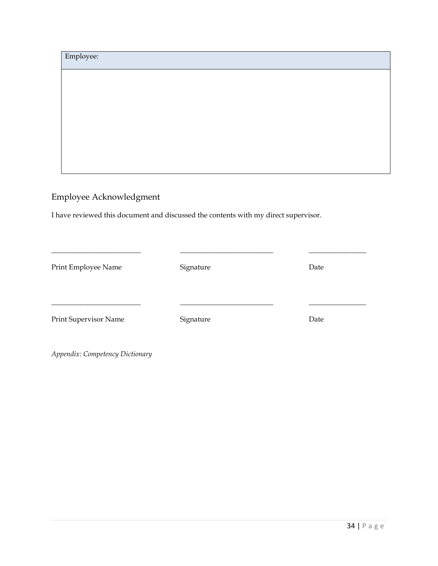| Employee: |  |  |
|-----------|--|--|
|           |  |  |
|           |  |  |
|           |  |  |
|           |  |  |
|           |  |  |
|           |  |  |

# Employee Acknowledgment

I have reviewed this document and discussed the contents with my direct supervisor.

| Print Employee Name   | Signature | Date |
|-----------------------|-----------|------|
| Print Supervisor Name | Signature | Date |

*Appendix: Competency Dictionary*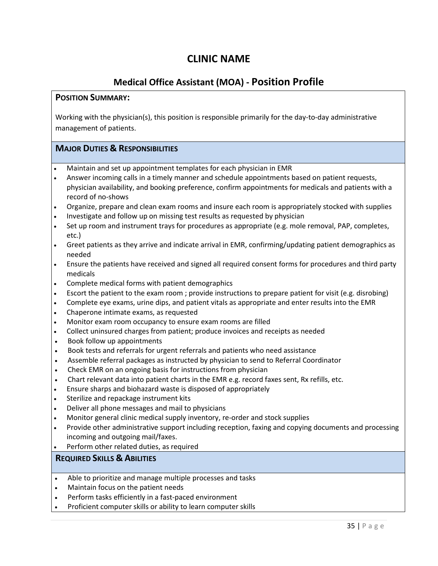# **CLINIC NAME**

# **Medical Office Assistant (MOA) - Position Profile**

#### <span id="page-34-0"></span>**POSITION SUMMARY:**

Working with the physician(s), this position is responsible primarily for the day-to-day administrative management of patients.

#### **MAJOR DUTIES & RESPONSIBILITIES**

- Maintain and set up appointment templates for each physician in EMR
- Answer incoming calls in a timely manner and schedule appointments based on patient requests, physician availability, and booking preference, confirm appointments for medicals and patients with a record of no-shows
- Organize, prepare and clean exam rooms and insure each room is appropriately stocked with supplies
- Investigate and follow up on missing test results as requested by physician
- Set up room and instrument trays for procedures as appropriate (e.g. mole removal, PAP, completes, etc.)
- Greet patients as they arrive and indicate arrival in EMR, confirming/updating patient demographics as needed
- Ensure the patients have received and signed all required consent forms for procedures and third party medicals
- Complete medical forms with patient demographics
- Escort the patient to the exam room ; provide instructions to prepare patient for visit (e.g. disrobing)
- Complete eye exams, urine dips, and patient vitals as appropriate and enter results into the EMR
- Chaperone intimate exams, as requested
- Monitor exam room occupancy to ensure exam rooms are filled
- Collect uninsured charges from patient; produce invoices and receipts as needed
- Book follow up appointments
- Book tests and referrals for urgent referrals and patients who need assistance
- Assemble referral packages as instructed by physician to send to Referral Coordinator
- Check EMR on an ongoing basis for instructions from physician
- Chart relevant data into patient charts in the EMR e.g. record faxes sent, Rx refills, etc.
- Ensure sharps and biohazard waste is disposed of appropriately
- Sterilize and repackage instrument kits
- Deliver all phone messages and mail to physicians
- Monitor general clinic medical supply inventory, re-order and stock supplies
- Provide other administrative support including reception, faxing and copying documents and processing incoming and outgoing mail/faxes.
- Perform other related duties, as required

#### **REQUIRED SKILLS & ABILITIES**

- Able to prioritize and manage multiple processes and tasks
- Maintain focus on the patient needs
- Perform tasks efficiently in a fast-paced environment
- Proficient computer skills or ability to learn computer skills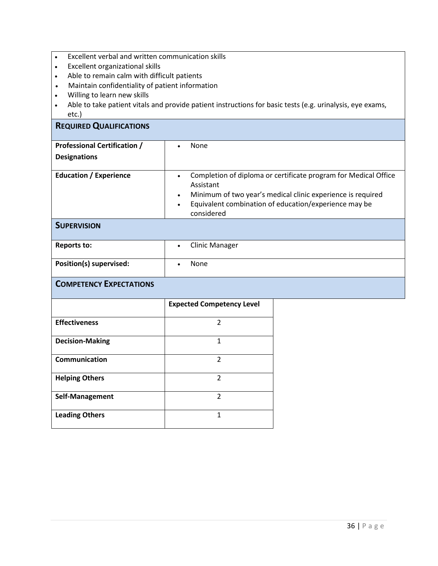- Excellent verbal and written communication skills
- Excellent organizational skills
- Able to remain calm with difficult patients<br>• Maintain confidentiality of patient informa
- Maintain confidentiality of patient information
- Willing to learn new skills
- Able to take patient vitals and provide patient instructions for basic tests (e.g. urinalysis, eye exams, etc.)

#### **REQUIRED QUALIFICATIONS**

| <b>Professional Certification /</b> | None<br>$\bullet$                                                                                                                                                                                                                                         |
|-------------------------------------|-----------------------------------------------------------------------------------------------------------------------------------------------------------------------------------------------------------------------------------------------------------|
| <b>Designations</b>                 |                                                                                                                                                                                                                                                           |
| <b>Education / Experience</b>       | Completion of diploma or certificate program for Medical Office<br>$\bullet$<br>Assistant<br>Minimum of two year's medical clinic experience is required<br>$\bullet$<br>Equivalent combination of education/experience may be<br>$\bullet$<br>considered |
| <b>SUPERVISION</b>                  |                                                                                                                                                                                                                                                           |
| <b>Reports to:</b>                  | <b>Clinic Manager</b><br>$\bullet$                                                                                                                                                                                                                        |
| Position(s) supervised:             | <b>None</b>                                                                                                                                                                                                                                               |
| <b>COMPETENCY EXPECTATIONS</b>      |                                                                                                                                                                                                                                                           |

|                        | <b>Expected Competency Level</b> |
|------------------------|----------------------------------|
| <b>Effectiveness</b>   | 2                                |
| <b>Decision-Making</b> | 1                                |
| <b>Communication</b>   | $\mathcal{P}$                    |
| <b>Helping Others</b>  | $\mathfrak z$                    |
| Self-Management        | C                                |
| <b>Leading Others</b>  | 1                                |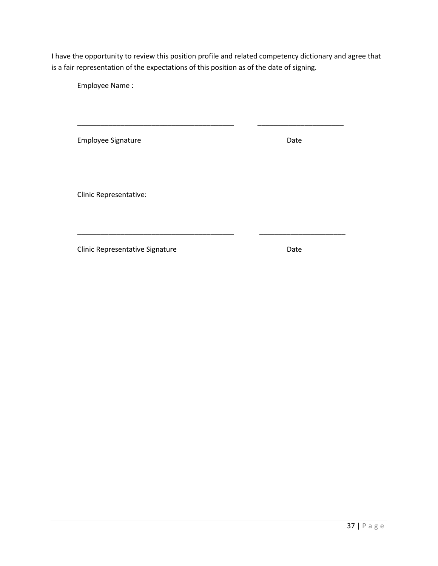\_\_\_\_\_\_\_\_\_\_\_\_\_\_\_\_\_\_\_\_\_\_\_\_\_\_\_\_\_\_\_\_\_\_\_\_\_\_\_\_ \_\_\_\_\_\_\_\_\_\_\_\_\_\_\_\_\_\_\_\_\_\_

\_\_\_\_\_\_\_\_\_\_\_\_\_\_\_\_\_\_\_\_\_\_\_\_\_\_\_\_\_\_\_\_\_\_\_\_\_\_\_\_ \_\_\_\_\_\_\_\_\_\_\_\_\_\_\_\_\_\_\_\_\_\_

Employee Name :

Employee Signature **Date** Date

Clinic Representative: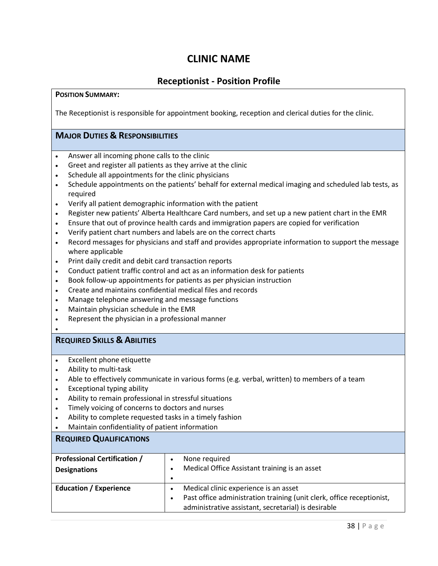# **Receptionist - Position Profile**

#### **POSITION SUMMARY:**

The Receptionist is responsible for appointment booking, reception and clerical duties for the clinic.

# **MAJOR DUTIES & RESPONSIBILITIES**

- Answer all incoming phone calls to the clinic
- Greet and register all patients as they arrive at the clinic
- Schedule all appointments for the clinic physicians
- Schedule appointments on the patients' behalf for external medical imaging and scheduled lab tests, as required
- Verify all patient demographic information with the patient
- Register new patients' Alberta Healthcare Card numbers, and set up a new patient chart in the EMR
- Ensure that out of province health cards and immigration papers are copied for verification
- Verify patient chart numbers and labels are on the correct charts
- Record messages for physicians and staff and provides appropriate information to support the message where applicable
- Print daily credit and debit card transaction reports
- Conduct patient traffic control and act as an information desk for patients
- Book follow-up appointments for patients as per physician instruction
- Create and maintains confidential medical files and records
- Manage telephone answering and message functions
- Maintain physician schedule in the EMR
- Represent the physician in a professional manner
- •

# **REQUIRED SKILLS & ABILITIES**

- Excellent phone etiquette
- Ability to multi-task
- Able to effectively communicate in various forms (e.g. verbal, written) to members of a team
- Exceptional typing ability
- Ability to remain professional in stressful situations
- Timely voicing of concerns to doctors and nurses
- Ability to complete requested tasks in a timely fashion
- Maintain confidentiality of patient information

#### **REQUIRED QUALIFICATIONS**

| <b>Professional Certification /</b><br><b>Designations</b> | None required<br>$\bullet$<br>Medical Office Assistant training is an asset<br>$\bullet$<br>$\bullet$                                                                                   |
|------------------------------------------------------------|-----------------------------------------------------------------------------------------------------------------------------------------------------------------------------------------|
| <b>Education / Experience</b>                              | Medical clinic experience is an asset<br>$\bullet$<br>Past office administration training (unit clerk, office receptionist,<br>٠<br>administrative assistant, secretarial) is desirable |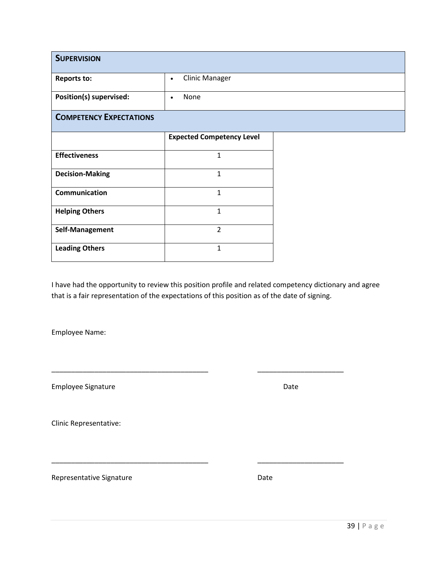| <b>SUPERVISION</b>             |                                    |
|--------------------------------|------------------------------------|
| <b>Reports to:</b>             | <b>Clinic Manager</b><br>$\bullet$ |
| Position(s) supervised:        | None<br>$\bullet$                  |
| <b>COMPETENCY EXPECTATIONS</b> |                                    |
|                                | <b>Expected Competency Level</b>   |
| <b>Effectiveness</b>           | $\mathbf{1}$                       |
| <b>Decision-Making</b>         | $\mathbf{1}$                       |
| Communication                  | 1                                  |
| <b>Helping Others</b>          | $\mathbf{1}$                       |
| Self-Management                | $\overline{2}$                     |
| <b>Leading Others</b>          | 1                                  |

\_\_\_\_\_\_\_\_\_\_\_\_\_\_\_\_\_\_\_\_\_\_\_\_\_\_\_\_\_\_\_\_\_\_\_\_\_\_\_\_ \_\_\_\_\_\_\_\_\_\_\_\_\_\_\_\_\_\_\_\_\_\_

\_\_\_\_\_\_\_\_\_\_\_\_\_\_\_\_\_\_\_\_\_\_\_\_\_\_\_\_\_\_\_\_\_\_\_\_\_\_\_\_ \_\_\_\_\_\_\_\_\_\_\_\_\_\_\_\_\_\_\_\_\_\_

Employee Name:

Employee Signature **Date** Date **Date** 

Clinic Representative: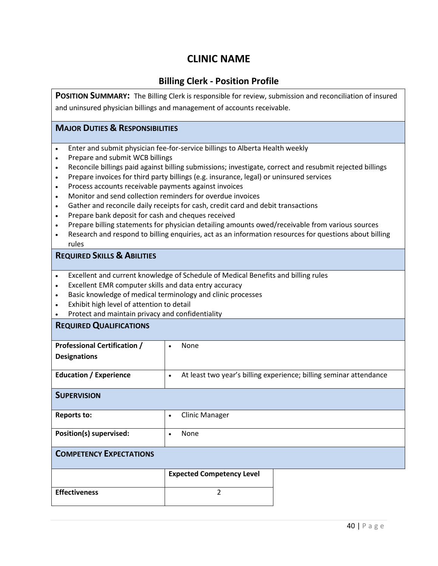# **Billing Clerk - Position Profile**

POSITION SUMMARY: The Billing Clerk is responsible for review, submission and reconciliation of insured and uninsured physician billings and management of accounts receivable.

# **MAJOR DUTIES & RESPONSIBILITIES**

- Enter and submit physician fee-for-service billings to Alberta Health weekly
- Prepare and submit WCB billings
- Reconcile billings paid against billing submissions; investigate, correct and resubmit rejected billings
- Prepare invoices for third party billings (e.g. insurance, legal) or uninsured services
- Process accounts receivable payments against invoices
- Monitor and send collection reminders for overdue invoices
- Gather and reconcile daily receipts for cash, credit card and debit transactions
- Prepare bank deposit for cash and cheques received
- Prepare billing statements for physician detailing amounts owed/receivable from various sources
- Research and respond to billing enquiries, act as an information resources for questions about billing rules

#### **REQUIRED SKILLS & ABILITIES**

- Excellent and current knowledge of Schedule of Medical Benefits and billing rules
- Excellent EMR computer skills and data entry accuracy
- Basic knowledge of medical terminology and clinic processes
- Exhibit high level of attention to detail
- Protect and maintain privacy and confidentiality

#### **REQUIRED QUALIFICATIONS**

| <b>Professional Certification /</b> | None                                                                            |
|-------------------------------------|---------------------------------------------------------------------------------|
| <b>Designations</b>                 |                                                                                 |
|                                     |                                                                                 |
| <b>Education / Experience</b>       | At least two year's billing experience; billing seminar attendance<br>$\bullet$ |
| <b>SUPERVISION</b>                  |                                                                                 |
| <b>Reports to:</b>                  | <b>Clinic Manager</b><br>$\bullet$                                              |
| Position(s) supervised:             | None<br>$\bullet$                                                               |
| <b>COMPETENCY EXPECTATIONS</b>      |                                                                                 |
|                                     | <b>Expected Competency Level</b>                                                |

|                      | $\sim$ |
|----------------------|--------|
| <b>Effectiveness</b> |        |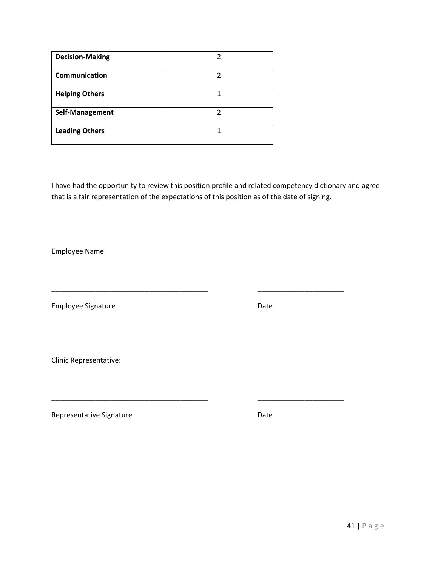| <b>Decision-Making</b> |   |
|------------------------|---|
| <b>Communication</b>   | っ |
| <b>Helping Others</b>  |   |
| Self-Management        | 7 |
| <b>Leading Others</b>  |   |

\_\_\_\_\_\_\_\_\_\_\_\_\_\_\_\_\_\_\_\_\_\_\_\_\_\_\_\_\_\_\_\_\_\_\_\_\_\_\_\_ \_\_\_\_\_\_\_\_\_\_\_\_\_\_\_\_\_\_\_\_\_\_

\_\_\_\_\_\_\_\_\_\_\_\_\_\_\_\_\_\_\_\_\_\_\_\_\_\_\_\_\_\_\_\_\_\_\_\_\_\_\_\_ \_\_\_\_\_\_\_\_\_\_\_\_\_\_\_\_\_\_\_\_\_\_

Employee Name:

Employee Signature **Date** Date

Clinic Representative: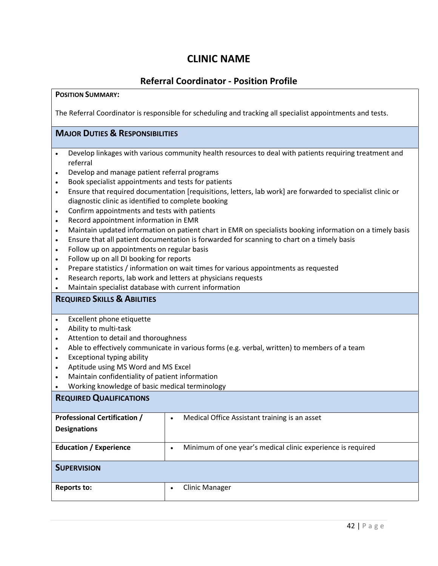# **Referral Coordinator - Position Profile**

### **POSITION SUMMARY:**

The Referral Coordinator is responsible for scheduling and tracking all specialist appointments and tests.

# **MAJOR DUTIES & RESPONSIBILITIES**

- Develop linkages with various community health resources to deal with patients requiring treatment and referral
- Develop and manage patient referral programs
- Book specialist appointments and tests for patients
- Ensure that required documentation [requisitions, letters, lab work] are forwarded to specialist clinic or diagnostic clinic as identified to complete booking
- Confirm appointments and tests with patients
- Record appointment information in EMR
- Maintain updated information on patient chart in EMR on specialists booking information on a timely basis
- Ensure that all patient documentation is forwarded for scanning to chart on a timely basis
- Follow up on appointments on regular basis
- Follow up on all DI booking for reports
- Prepare statistics / information on wait times for various appointments as requested
- Research reports, lab work and letters at physicians requests
- Maintain specialist database with current information

# **REQUIRED SKILLS & ABILITIES**

- Excellent phone etiquette
- Ability to multi-task
- Attention to detail and thoroughness
- Able to effectively communicate in various forms (e.g. verbal, written) to members of a team
- Exceptional typing ability
- Aptitude using MS Word and MS Excel
- Maintain confidentiality of patient information
- Working knowledge of basic medical terminology

# **REQUIRED QUALIFICATIONS Professional Certification / Designations**  • Medical Office Assistant training is an asset **Education / Experience**  $\begin{vmatrix} \cdot & \text{Minimum of one year's medical clinic experience is required} \\ \cdot & \cdot & \cdot \end{vmatrix}$ **SUPERVISION Reports to:**  $\begin{vmatrix} \cdot & \cdot & \cdot \\ \cdot & \cdot & \cdot \\ \cdot & \cdot & \cdot \end{vmatrix}$  . Clinic Manager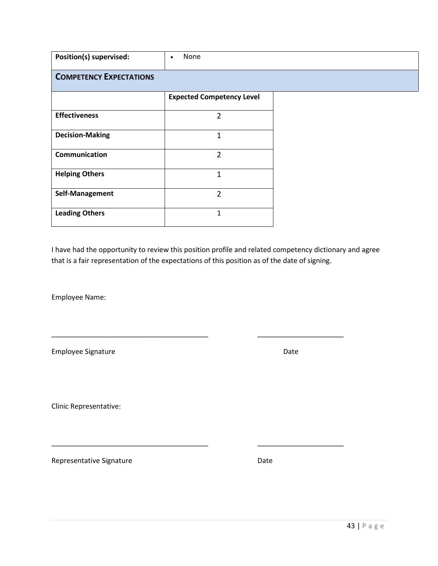| Position(s) supervised:        | None<br>$\bullet$                |  |
|--------------------------------|----------------------------------|--|
| <b>COMPETENCY EXPECTATIONS</b> |                                  |  |
|                                | <b>Expected Competency Level</b> |  |
| <b>Effectiveness</b>           | 2                                |  |
| <b>Decision-Making</b>         | 1                                |  |
| <b>Communication</b>           | $\overline{2}$                   |  |
| <b>Helping Others</b>          | 1                                |  |
| Self-Management                | $\overline{2}$                   |  |
| <b>Leading Others</b>          | 1                                |  |

\_\_\_\_\_\_\_\_\_\_\_\_\_\_\_\_\_\_\_\_\_\_\_\_\_\_\_\_\_\_\_\_\_\_\_\_\_\_\_\_ \_\_\_\_\_\_\_\_\_\_\_\_\_\_\_\_\_\_\_\_\_\_

\_\_\_\_\_\_\_\_\_\_\_\_\_\_\_\_\_\_\_\_\_\_\_\_\_\_\_\_\_\_\_\_\_\_\_\_\_\_\_\_ \_\_\_\_\_\_\_\_\_\_\_\_\_\_\_\_\_\_\_\_\_\_

Employee Name:

Employee Signature **Date** Date **Date** 

Clinic Representative: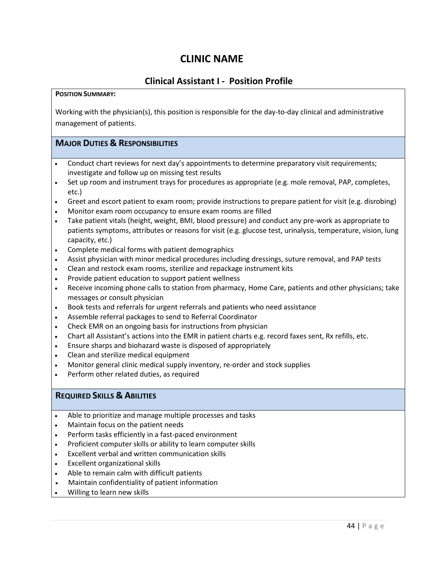# **Clinical Assistant I - Position Profile**

#### **POSITION SUMMARY:**

Working with the physician(s), this position is responsible for the day-to-day clinical and administrative management of patients.

# **MAJOR DUTIES & RESPONSIBILITIES**

- Conduct chart reviews for next day's appointments to determine preparatory visit requirements; investigate and follow up on missing test results
- Set up room and instrument trays for procedures as appropriate (e.g. mole removal, PAP, completes, etc.)
- Greet and escort patient to exam room; provide instructions to prepare patient for visit (e.g. disrobing)
- Monitor exam room occupancy to ensure exam rooms are filled
- Take patient vitals (height, weight, BMI, blood pressure) and conduct any pre-work as appropriate to patients symptoms, attributes or reasons for visit (e.g. glucose test, urinalysis, temperature, vision, lung capacity, etc.)
- Complete medical forms with patient demographics
- Assist physician with minor medical procedures including dressings, suture removal, and PAP tests
- Clean and restock exam rooms, sterilize and repackage instrument kits
- Provide patient education to support patient wellness
- Receive incoming phone calls to station from pharmacy, Home Care, patients and other physicians; take messages or consult physician
- Book tests and referrals for urgent referrals and patients who need assistance
- Assemble referral packages to send to Referral Coordinator
- Check EMR on an ongoing basis for instructions from physician
- Chart all Assistant's actions into the EMR in patient charts e.g. record faxes sent, Rx refills, etc.
- Ensure sharps and biohazard waste is disposed of appropriately
- Clean and sterilize medical equipment
- Monitor general clinic medical supply inventory, re-order and stock supplies
- Perform other related duties, as required

# **REQUIRED SKILLS & ABILITIES**

- Able to prioritize and manage multiple processes and tasks
- Maintain focus on the patient needs
- Perform tasks efficiently in a fast-paced environment
- Proficient computer skills or ability to learn computer skills
- Excellent verbal and written communication skills
- Excellent organizational skills
- Able to remain calm with difficult patients
- Maintain confidentiality of patient information
- Willing to learn new skills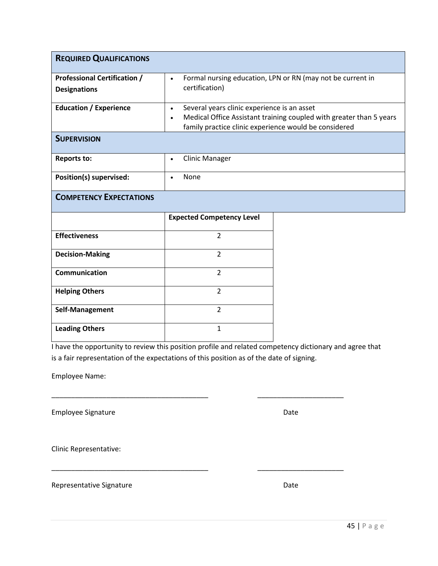| <b>REQUIRED QUALIFICATIONS</b>                             |                                                                                                                                |                                                                     |
|------------------------------------------------------------|--------------------------------------------------------------------------------------------------------------------------------|---------------------------------------------------------------------|
| <b>Professional Certification /</b><br><b>Designations</b> | $\bullet$<br>certification)                                                                                                    | Formal nursing education, LPN or RN (may not be current in          |
| <b>Education / Experience</b>                              | Several years clinic experience is an asset<br>$\bullet$<br>$\bullet$<br>family practice clinic experience would be considered | Medical Office Assistant training coupled with greater than 5 years |
| <b>SUPERVISION</b>                                         |                                                                                                                                |                                                                     |
| <b>Reports to:</b>                                         | <b>Clinic Manager</b><br>$\bullet$                                                                                             |                                                                     |
| Position(s) supervised:                                    | None<br>$\bullet$                                                                                                              |                                                                     |
| <b>COMPETENCY EXPECTATIONS</b>                             |                                                                                                                                |                                                                     |
|                                                            | <b>Expected Competency Level</b>                                                                                               |                                                                     |
| <b>Effectiveness</b>                                       | $\overline{2}$                                                                                                                 |                                                                     |
| <b>Decision-Making</b>                                     | $\overline{2}$                                                                                                                 |                                                                     |
| Communication                                              | $\overline{2}$                                                                                                                 |                                                                     |
| <b>Helping Others</b>                                      | $\overline{2}$                                                                                                                 |                                                                     |
| Self-Management                                            | $\overline{2}$                                                                                                                 |                                                                     |
| <b>Leading Others</b>                                      | $\mathbf{1}$                                                                                                                   |                                                                     |

\_\_\_\_\_\_\_\_\_\_\_\_\_\_\_\_\_\_\_\_\_\_\_\_\_\_\_\_\_\_\_\_\_\_\_\_\_\_\_\_ \_\_\_\_\_\_\_\_\_\_\_\_\_\_\_\_\_\_\_\_\_\_

\_\_\_\_\_\_\_\_\_\_\_\_\_\_\_\_\_\_\_\_\_\_\_\_\_\_\_\_\_\_\_\_\_\_\_\_\_\_\_\_ \_\_\_\_\_\_\_\_\_\_\_\_\_\_\_\_\_\_\_\_\_\_

Employee Name:

Employee Signature **Date** Date Date

Clinic Representative: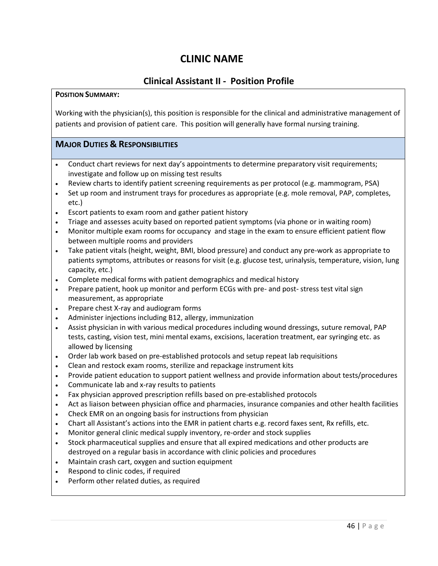# **Clinical Assistant II - Position Profile**

### **POSITION SUMMARY:**

Working with the physician(s), this position is responsible for the clinical and administrative management of patients and provision of patient care. This position will generally have formal nursing training.

# **MAJOR DUTIES & RESPONSIBILITIES**

- Conduct chart reviews for next day's appointments to determine preparatory visit requirements; investigate and follow up on missing test results
- Review charts to identify patient screening requirements as per protocol (e.g. mammogram, PSA)
- Set up room and instrument trays for procedures as appropriate (e.g. mole removal, PAP, completes, etc.)
- Escort patients to exam room and gather patient history
- Triage and assesses acuity based on reported patient symptoms (via phone or in waiting room)
- Monitor multiple exam rooms for occupancy and stage in the exam to ensure efficient patient flow between multiple rooms and providers
- Take patient vitals (height, weight, BMI, blood pressure) and conduct any pre-work as appropriate to patients symptoms, attributes or reasons for visit (e.g. glucose test, urinalysis, temperature, vision, lung capacity, etc.)
- Complete medical forms with patient demographics and medical history
- Prepare patient, hook up monitor and perform ECGs with pre- and post-stress test vital sign measurement, as appropriate
- Prepare chest X-ray and audiogram forms
- Administer injections including B12, allergy, immunization
- Assist physician in with various medical procedures including wound dressings, suture removal, PAP tests, casting, vision test, mini mental exams, excisions, laceration treatment, ear syringing etc. as allowed by licensing
- Order lab work based on pre-established protocols and setup repeat lab requisitions
- Clean and restock exam rooms, sterilize and repackage instrument kits
- Provide patient education to support patient wellness and provide information about tests/procedures
- Communicate lab and x-ray results to patients
- Fax physician approved prescription refills based on pre-established protocols
- Act as liaison between physician office and pharmacies, insurance companies and other health facilities
- Check EMR on an ongoing basis for instructions from physician
- Chart all Assistant's actions into the EMR in patient charts e.g. record faxes sent, Rx refills, etc.
- Monitor general clinic medical supply inventory, re-order and stock supplies
- Stock pharmaceutical supplies and ensure that all expired medications and other products are destroyed on a regular basis in accordance with clinic policies and procedures
- Maintain crash cart, oxygen and suction equipment
- Respond to clinic codes, if required
- Perform other related duties, as required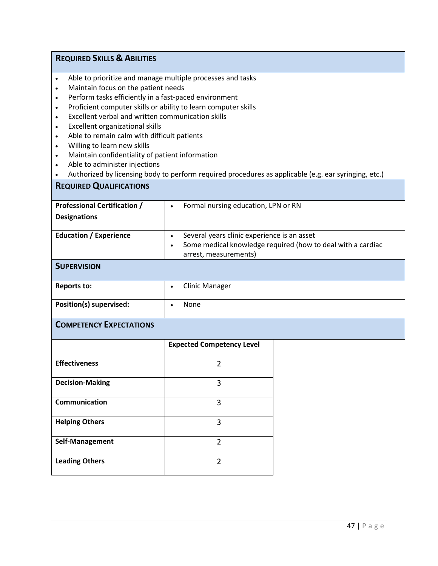# **REQUIRED SKILLS & ABILITIES**

- Able to prioritize and manage multiple processes and tasks
- Maintain focus on the patient needs
- Perform tasks efficiently in a fast-paced environment
- Proficient computer skills or ability to learn computer skills
- Excellent verbal and written communication skills
- Excellent organizational skills
- Able to remain calm with difficult patients
- Willing to learn new skills
- Maintain confidentiality of patient information
- Able to administer injections
- Authorized by licensing body to perform required procedures as applicable (e.g. ear syringing, etc.)

#### **REQUIRED QUALIFICATIONS**

| <b>Professional Certification /</b> | Formal nursing education, LPN or RN                         |
|-------------------------------------|-------------------------------------------------------------|
| <b>Designations</b>                 |                                                             |
|                                     |                                                             |
| <b>Education / Experience</b>       | Several years clinic experience is an asset                 |
|                                     | Some medical knowledge required (how to deal with a cardiac |
|                                     | arrest, measurements)                                       |
| <b>SUPERVISION</b>                  |                                                             |

| Reports to:             | <b>Clinic Manager</b> |
|-------------------------|-----------------------|
| Position(s) supervised: | None                  |

# **COMPETENCY EXPECTATIONS**

|                        | <b>Expected Competency Level</b> |
|------------------------|----------------------------------|
| <b>Effectiveness</b>   | $\mathfrak z$                    |
| <b>Decision-Making</b> | ς                                |
| Communication          | 3                                |
| <b>Helping Others</b>  | ς                                |
| Self-Management        | $\mathfrak z$                    |
| <b>Leading Others</b>  | 2                                |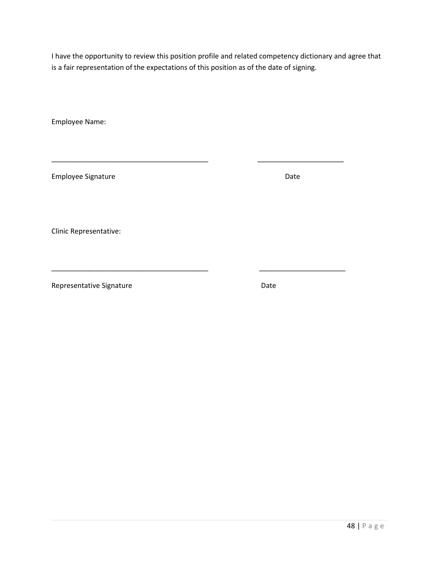\_\_\_\_\_\_\_\_\_\_\_\_\_\_\_\_\_\_\_\_\_\_\_\_\_\_\_\_\_\_\_\_\_\_\_\_\_\_\_\_ \_\_\_\_\_\_\_\_\_\_\_\_\_\_\_\_\_\_\_\_\_\_

Employee Name:

Employee Signature **Date** Date **Date** 

Clinic Representative:

Representative Signature **Date** Date

\_\_\_\_\_\_\_\_\_\_\_\_\_\_\_\_\_\_\_\_\_\_\_\_\_\_\_\_\_\_\_\_\_\_\_\_\_\_\_\_ \_\_\_\_\_\_\_\_\_\_\_\_\_\_\_\_\_\_\_\_\_\_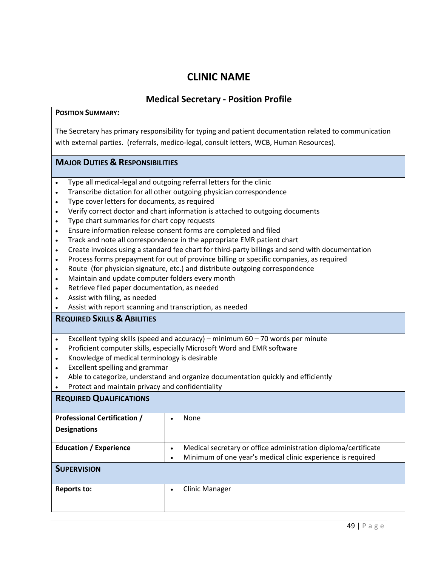# **Medical Secretary - Position Profile**

### **POSITION SUMMARY:**

The Secretary has primary responsibility for typing and patient documentation related to communication with external parties. (referrals, medico-legal, consult letters, WCB, Human Resources).

# **MAJOR DUTIES & RESPONSIBILITIES**

- Type all medical-legal and outgoing referral letters for the clinic
- Transcribe dictation for all other outgoing physician correspondence
- Type cover letters for documents, as required
- Verify correct doctor and chart information is attached to outgoing documents
- Type chart summaries for chart copy requests
- Ensure information release consent forms are completed and filed
- Track and note all correspondence in the appropriate EMR patient chart
- Create invoices using a standard fee chart for third-party billings and send with documentation
- Process forms prepayment for out of province billing or specific companies, as required
- Route (for physician signature, etc.) and distribute outgoing correspondence
- Maintain and update computer folders every month
- Retrieve filed paper documentation, as needed
- Assist with filing, as needed
- Assist with report scanning and transcription, as needed

# **REQUIRED SKILLS & ABILITIES**

- Excellent typing skills (speed and accuracy) minimum  $60 70$  words per minute
- Proficient computer skills, especially Microsoft Word and EMR software
- Knowledge of medical terminology is desirable
- Excellent spelling and grammar
- Able to categorize, understand and organize documentation quickly and efficiently
- Protect and maintain privacy and confidentiality

# **REQUIRED QUALIFICATIONS**

| <b>Professional Certification /</b><br><b>Designations</b> | None                                                                                                                          |
|------------------------------------------------------------|-------------------------------------------------------------------------------------------------------------------------------|
| <b>Education / Experience</b>                              | Medical secretary or office administration diploma/certificate<br>Minimum of one year's medical clinic experience is required |
| <b>SUPERVISION</b>                                         |                                                                                                                               |
| Reports to:                                                | <b>Clinic Manager</b>                                                                                                         |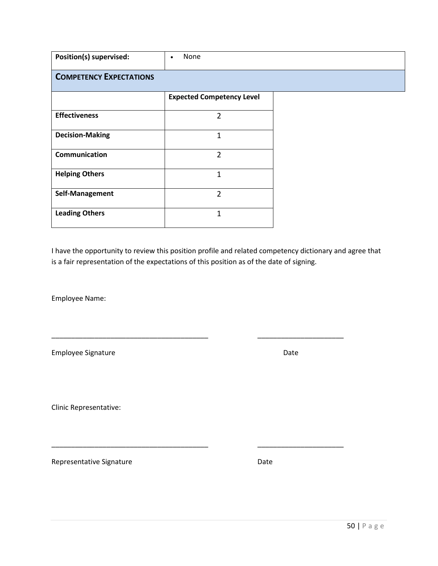| Position(s) supervised:        | None<br>٠                        |  |
|--------------------------------|----------------------------------|--|
| <b>COMPETENCY EXPECTATIONS</b> |                                  |  |
|                                | <b>Expected Competency Level</b> |  |
| <b>Effectiveness</b>           | 2                                |  |
| <b>Decision-Making</b>         | $\overline{1}$                   |  |
| Communication                  | $\overline{2}$                   |  |
| <b>Helping Others</b>          | $\mathbf{1}$                     |  |
| Self-Management                | $\overline{2}$                   |  |
| <b>Leading Others</b>          | 1                                |  |

\_\_\_\_\_\_\_\_\_\_\_\_\_\_\_\_\_\_\_\_\_\_\_\_\_\_\_\_\_\_\_\_\_\_\_\_\_\_\_\_ \_\_\_\_\_\_\_\_\_\_\_\_\_\_\_\_\_\_\_\_\_\_

\_\_\_\_\_\_\_\_\_\_\_\_\_\_\_\_\_\_\_\_\_\_\_\_\_\_\_\_\_\_\_\_\_\_\_\_\_\_\_\_ \_\_\_\_\_\_\_\_\_\_\_\_\_\_\_\_\_\_\_\_\_\_

Employee Name:

Employee Signature **Date** Date of Contract and Contract of Contract and Contract of Contract and Contract of Contract and Contract and Contract of Contract and Contract and Contract and Contract and Contract and Contract a

Clinic Representative: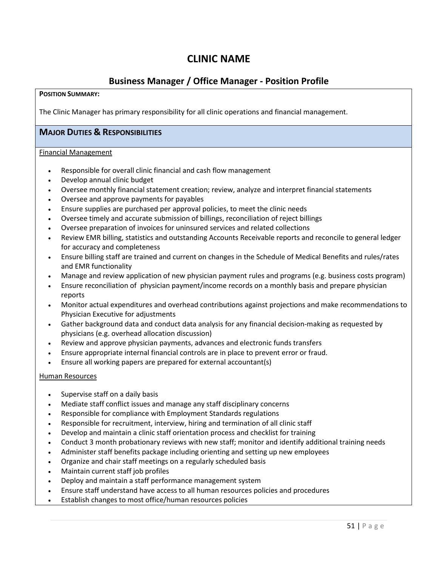# **Business Manager / Office Manager - Position Profile**

#### **POSITION SUMMARY:**

The Clinic Manager has primary responsibility for all clinic operations and financial management.

# **MAJOR DUTIES & RESPONSIBILITIES**

#### Financial Management

- Responsible for overall clinic financial and cash flow management
- Develop annual clinic budget
- Oversee monthly financial statement creation; review, analyze and interpret financial statements
- Oversee and approve payments for payables
- Ensure supplies are purchased per approval policies, to meet the clinic needs
- Oversee timely and accurate submission of billings, reconciliation of reject billings
- Oversee preparation of invoices for uninsured services and related collections
- Review EMR billing, statistics and outstanding Accounts Receivable reports and reconcile to general ledger for accuracy and completeness
- Ensure billing staff are trained and current on changes in the Schedule of Medical Benefits and rules/rates and EMR functionality
- Manage and review application of new physician payment rules and programs (e.g. business costs program)
- Ensure reconciliation of physician payment/income records on a monthly basis and prepare physician reports
- Monitor actual expenditures and overhead contributions against projections and make recommendations to Physician Executive for adjustments
- Gather background data and conduct data analysis for any financial decision-making as requested by physicians (e.g. overhead allocation discussion)
- Review and approve physician payments, advances and electronic funds transfers
- Ensure appropriate internal financial controls are in place to prevent error or fraud.
- Ensure all working papers are prepared for external accountant(s)

#### Human Resources

- Supervise staff on a daily basis
- Mediate staff conflict issues and manage any staff disciplinary concerns
- Responsible for compliance with Employment Standards regulations
- Responsible for recruitment, interview, hiring and termination of all clinic staff
- Develop and maintain a clinic staff orientation process and checklist for training
- Conduct 3 month probationary reviews with new staff; monitor and identify additional training needs
- Administer staff benefits package including orienting and setting up new employees
- Organize and chair staff meetings on a regularly scheduled basis
- Maintain current staff job profiles
- Deploy and maintain a staff performance management system
- Ensure staff understand have access to all human resources policies and procedures
- Establish changes to most office/human resources policies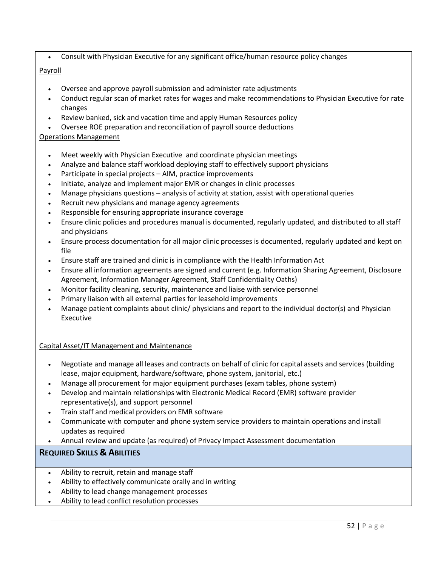• Consult with Physician Executive for any significant office/human resource policy changes

### Payroll

- Oversee and approve payroll submission and administer rate adjustments
- Conduct regular scan of market rates for wages and make recommendations to Physician Executive for rate changes
- Review banked, sick and vacation time and apply Human Resources policy
- Oversee ROE preparation and reconciliation of payroll source deductions

### Operations Management

- Meet weekly with Physician Executive and coordinate physician meetings
- Analyze and balance staff workload deploying staff to effectively support physicians
- Participate in special projects AIM, practice improvements
- Initiate, analyze and implement major EMR or changes in clinic processes
- Manage physicians questions analysis of activity at station, assist with operational queries
- Recruit new physicians and manage agency agreements
- Responsible for ensuring appropriate insurance coverage
- Ensure clinic policies and procedures manual is documented, regularly updated, and distributed to all staff and physicians
- Ensure process documentation for all major clinic processes is documented, regularly updated and kept on file
- Ensure staff are trained and clinic is in compliance with the Health Information Act
- Ensure all information agreements are signed and current (e.g. Information Sharing Agreement, Disclosure Agreement, Information Manager Agreement, Staff Confidentiality Oaths)
- Monitor facility cleaning, security, maintenance and liaise with service personnel
- Primary liaison with all external parties for leasehold improvements
- Manage patient complaints about clinic/ physicians and report to the individual doctor(s) and Physician Executive

#### Capital Asset/IT Management and Maintenance

- Negotiate and manage all leases and contracts on behalf of clinic for capital assets and services (building lease, major equipment, hardware/software, phone system, janitorial, etc.)
- Manage all procurement for major equipment purchases (exam tables, phone system)
- Develop and maintain relationships with Electronic Medical Record (EMR) software provider representative(s), and support personnel
- Train staff and medical providers on EMR software
- Communicate with computer and phone system service providers to maintain operations and install updates as required
- Annual review and update (as required) of Privacy Impact Assessment documentation

# **REQUIRED SKILLS & ABILITIES**

- Ability to recruit, retain and manage staff
- Ability to effectively communicate orally and in writing
- Ability to lead change management processes
- Ability to lead conflict resolution processes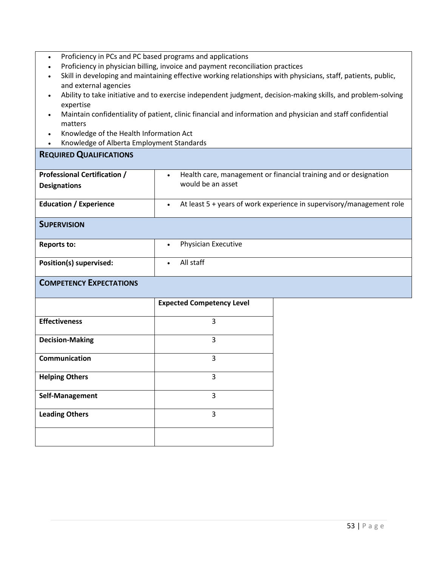- Proficiency in physician billing, invoice and payment reconciliation practices
- Skill in developing and maintaining effective working relationships with physicians, staff, patients, public, and external agencies
- Ability to take initiative and to exercise independent judgment, decision-making skills, and problem-solving expertise
- Maintain confidentiality of patient, clinic financial and information and physician and staff confidential matters
- Knowledge of the Health Information Act
- Knowledge of Alberta Employment Standards

### **REQUIRED QUALIFICATIONS**

| <b>Professional Certification /</b> | Health care, management or financial training and or designation<br>$\bullet$       |
|-------------------------------------|-------------------------------------------------------------------------------------|
| <b>Designations</b>                 | would be an asset                                                                   |
| <b>Education / Experience</b>       | At least $5 +$ years of work experience in supervisory/management role<br>$\bullet$ |
| <b>SUPERVISION</b>                  |                                                                                     |
| <b>Reports to:</b>                  | Physician Executive<br>$\bullet$                                                    |
| Position(s) supervised:             | All staff<br>$\bullet$                                                              |

# **COMPETENCY EXPECTATIONS**

|                        | <b>Expected Competency Level</b> |
|------------------------|----------------------------------|
| <b>Effectiveness</b>   | 3                                |
| <b>Decision-Making</b> | 3                                |
| Communication          | 3                                |
| <b>Helping Others</b>  | 3                                |
| Self-Management        | 3                                |
| <b>Leading Others</b>  | 3                                |
|                        |                                  |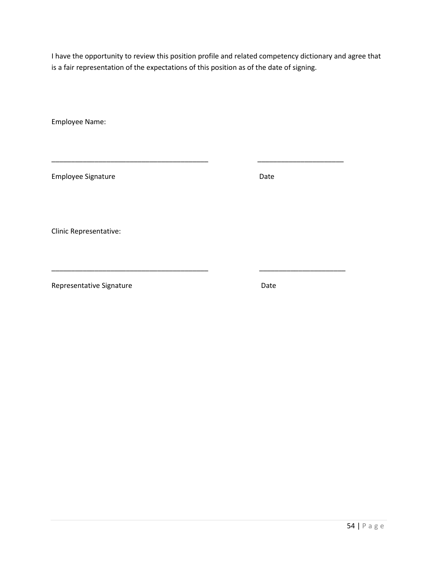\_\_\_\_\_\_\_\_\_\_\_\_\_\_\_\_\_\_\_\_\_\_\_\_\_\_\_\_\_\_\_\_\_\_\_\_\_\_\_\_ \_\_\_\_\_\_\_\_\_\_\_\_\_\_\_\_\_\_\_\_\_\_

\_\_\_\_\_\_\_\_\_\_\_\_\_\_\_\_\_\_\_\_\_\_\_\_\_\_\_\_\_\_\_\_\_\_\_\_\_\_\_\_ \_\_\_\_\_\_\_\_\_\_\_\_\_\_\_\_\_\_\_\_\_\_

Employee Name:

Employee Signature **Date** Date

Clinic Representative: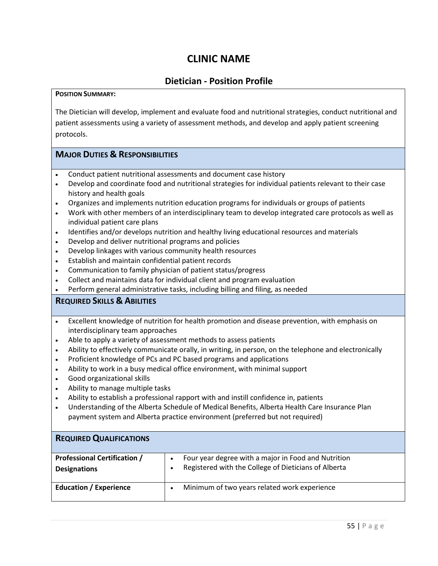# **Dietician - Position Profile**

#### **POSITION SUMMARY:**

The Dietician will develop, implement and evaluate food and nutritional strategies, conduct nutritional and patient assessments using a variety of assessment methods, and develop and apply patient screening protocols.

# **MAJOR DUTIES & RESPONSIBILITIES**

- Conduct patient nutritional assessments and document case history
- Develop and coordinate food and nutritional strategies for individual patients relevant to their case history and health goals
- Organizes and implements nutrition education programs for individuals or groups of patients
- Work with other members of an interdisciplinary team to develop integrated care protocols as well as individual patient care plans
- Identifies and/or develops nutrition and healthy living educational resources and materials
- Develop and deliver nutritional programs and policies
- Develop linkages with various community health resources
- Establish and maintain confidential patient records
- Communication to family physician of patient status/progress
- Collect and maintains data for individual client and program evaluation
- Perform general administrative tasks, including billing and filing, as needed

# **REQUIRED SKILLS & ABILITIES**

- Excellent knowledge of nutrition for health promotion and disease prevention, with emphasis on interdisciplinary team approaches
- Able to apply a variety of assessment methods to assess patients
- Ability to effectively communicate orally, in writing, in person, on the telephone and electronically
- Proficient knowledge of PCs and PC based programs and applications
- Ability to work in a busy medical office environment, with minimal support
- Good organizational skills
- Ability to manage multiple tasks
- Ability to establish a professional rapport with and instill confidence in, patients
- Understanding of the Alberta Schedule of Medical Benefits, Alberta Health Care Insurance Plan payment system and Alberta practice environment (preferred but not required)

| <b>REQUIRED QUALIFICATIONS</b>                             |                                                                                                             |
|------------------------------------------------------------|-------------------------------------------------------------------------------------------------------------|
| <b>Professional Certification /</b><br><b>Designations</b> | Four year degree with a major in Food and Nutrition<br>Registered with the College of Dieticians of Alberta |
| <b>Education / Experience</b>                              | Minimum of two years related work experience                                                                |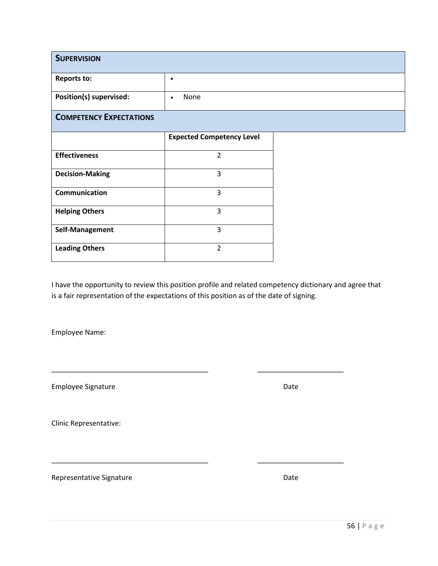| <b>SUPERVISION</b>             |                                  |
|--------------------------------|----------------------------------|
| <b>Reports to:</b>             | ٠                                |
| Position(s) supervised:        | None<br>$\bullet$                |
| <b>COMPETENCY EXPECTATIONS</b> |                                  |
|                                | <b>Expected Competency Level</b> |
| <b>Effectiveness</b>           | $\overline{2}$                   |
| <b>Decision-Making</b>         | 3                                |
| <b>Communication</b>           | 3                                |
| <b>Helping Others</b>          | 3                                |
| Self-Management                | 3                                |
| <b>Leading Others</b>          | $\overline{2}$                   |

\_\_\_\_\_\_\_\_\_\_\_\_\_\_\_\_\_\_\_\_\_\_\_\_\_\_\_\_\_\_\_\_\_\_\_\_\_\_\_\_ \_\_\_\_\_\_\_\_\_\_\_\_\_\_\_\_\_\_\_\_\_\_

\_\_\_\_\_\_\_\_\_\_\_\_\_\_\_\_\_\_\_\_\_\_\_\_\_\_\_\_\_\_\_\_\_\_\_\_\_\_\_\_ \_\_\_\_\_\_\_\_\_\_\_\_\_\_\_\_\_\_\_\_\_\_

Employee Name:

Employee Signature **Date** Date **Date** 

Clinic Representative: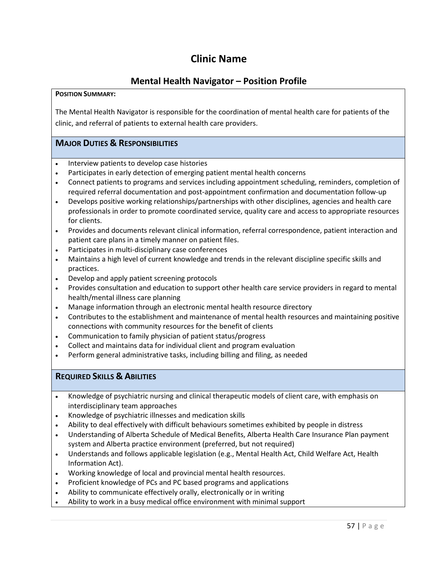# **Clinic Name**

# **Mental Health Navigator – Position Profile**

### **POSITION SUMMARY:**

The Mental Health Navigator is responsible for the coordination of mental health care for patients of the clinic, and referral of patients to external health care providers.

# **MAJOR DUTIES & RESPONSIBILITIES**

- Interview patients to develop case histories
- Participates in early detection of emerging patient mental health concerns
- Connect patients to programs and services including appointment scheduling, reminders, completion of required referral documentation and post-appointment confirmation and documentation follow-up
- Develops positive working relationships/partnerships with other disciplines, agencies and health care professionals in order to promote coordinated service, quality care and access to appropriate resources for clients.
- Provides and documents relevant clinical information, referral correspondence, patient interaction and patient care plans in a timely manner on patient files.
- Participates in multi-disciplinary case conferences
- Maintains a high level of current knowledge and trends in the relevant discipline specific skills and practices.
- Develop and apply patient screening protocols
- Provides consultation and education to support other health care service providers in regard to mental health/mental illness care planning
- Manage information through an electronic mental health resource directory
- Contributes to the establishment and maintenance of mental health resources and maintaining positive connections with community resources for the benefit of clients
- Communication to family physician of patient status/progress
- Collect and maintains data for individual client and program evaluation
- Perform general administrative tasks, including billing and filing, as needed

# **REQUIRED SKILLS & ABILITIES**

- Knowledge of psychiatric nursing and clinical therapeutic models of client care, with emphasis on interdisciplinary team approaches
- Knowledge of psychiatric illnesses and medication skills
- Ability to deal effectively with difficult behaviours sometimes exhibited by people in distress
- Understanding of Alberta Schedule of Medical Benefits, Alberta Health Care Insurance Plan payment system and Alberta practice environment (preferred, but not required)
- Understands and follows applicable legislation (e.g., Mental Health Act, Child Welfare Act, Health Information Act).
- Working knowledge of local and provincial mental health resources.
- Proficient knowledge of PCs and PC based programs and applications
- Ability to communicate effectively orally, electronically or in writing
- Ability to work in a busy medical office environment with minimal support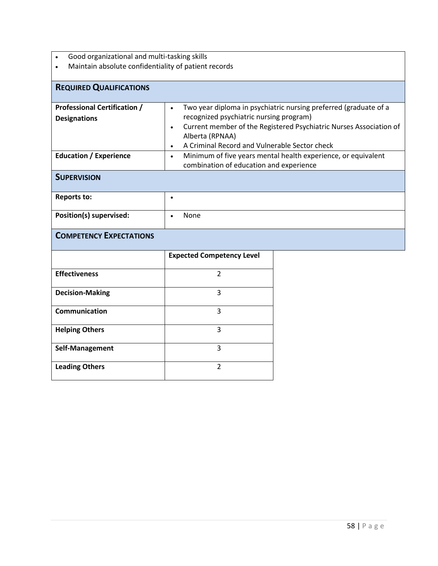- 
- Good organizational and multi-tasking skills • Maintain absolute confidentiality of patient records

| <b>REQUIRED QUALIFICATIONS</b>                                                                                    |                                                                                                                                                                                                                                                                                                                                                                                                                       |  |
|-------------------------------------------------------------------------------------------------------------------|-----------------------------------------------------------------------------------------------------------------------------------------------------------------------------------------------------------------------------------------------------------------------------------------------------------------------------------------------------------------------------------------------------------------------|--|
| <b>Professional Certification /</b><br><b>Designations</b><br><b>Education / Experience</b><br><b>SUPERVISION</b> | Two year diploma in psychiatric nursing preferred (graduate of a<br>$\bullet$<br>recognized psychiatric nursing program)<br>Current member of the Registered Psychiatric Nurses Association of<br>$\bullet$<br>Alberta (RPNAA)<br>A Criminal Record and Vulnerable Sector check<br>$\bullet$<br>Minimum of five years mental health experience, or equivalent<br>$\bullet$<br>combination of education and experience |  |
|                                                                                                                   |                                                                                                                                                                                                                                                                                                                                                                                                                       |  |
| <b>Reports to:</b>                                                                                                | $\bullet$                                                                                                                                                                                                                                                                                                                                                                                                             |  |
| Position(s) supervised:                                                                                           | None                                                                                                                                                                                                                                                                                                                                                                                                                  |  |
| <b>COMPETENCY EXPECTATIONS</b>                                                                                    |                                                                                                                                                                                                                                                                                                                                                                                                                       |  |
|                                                                                                                   | <b>Expected Competency Level</b>                                                                                                                                                                                                                                                                                                                                                                                      |  |
| <b>Effectiveness</b>                                                                                              | $\overline{2}$                                                                                                                                                                                                                                                                                                                                                                                                        |  |
| <b>Decision-Making</b>                                                                                            | 3                                                                                                                                                                                                                                                                                                                                                                                                                     |  |
| Communication                                                                                                     | 3                                                                                                                                                                                                                                                                                                                                                                                                                     |  |
| <b>Helping Others</b>                                                                                             | 3                                                                                                                                                                                                                                                                                                                                                                                                                     |  |
| Self-Management                                                                                                   | 3                                                                                                                                                                                                                                                                                                                                                                                                                     |  |
| <b>Leading Others</b>                                                                                             | $\overline{2}$                                                                                                                                                                                                                                                                                                                                                                                                        |  |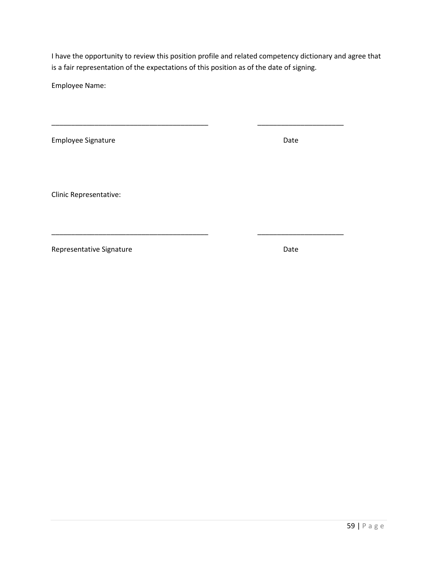\_\_\_\_\_\_\_\_\_\_\_\_\_\_\_\_\_\_\_\_\_\_\_\_\_\_\_\_\_\_\_\_\_\_\_\_\_\_\_\_ \_\_\_\_\_\_\_\_\_\_\_\_\_\_\_\_\_\_\_\_\_\_

\_\_\_\_\_\_\_\_\_\_\_\_\_\_\_\_\_\_\_\_\_\_\_\_\_\_\_\_\_\_\_\_\_\_\_\_\_\_\_\_ \_\_\_\_\_\_\_\_\_\_\_\_\_\_\_\_\_\_\_\_\_\_

Employee Name:

Employee Signature **Date** Date **Date** 

Clinic Representative: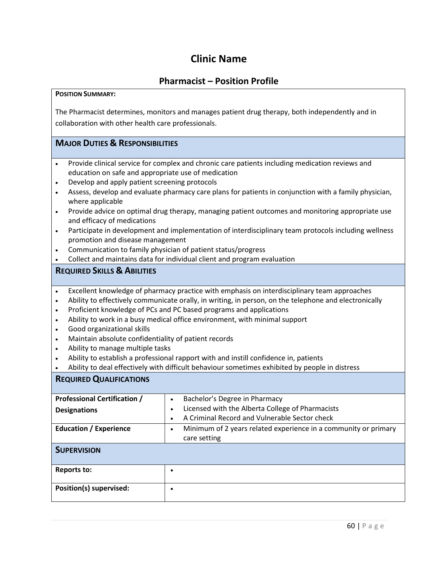# **Clinic Name**

# **Pharmacist – Position Profile**

#### **POSITION SUMMARY:**

The Pharmacist determines, monitors and manages patient drug therapy, both independently and in collaboration with other health care professionals.

# **MAJOR DUTIES & RESPONSIBILITIES**

- Provide clinical service for complex and chronic care patients including medication reviews and education on safe and appropriate use of medication
- Develop and apply patient screening protocols
- Assess, develop and evaluate pharmacy care plans for patients in conjunction with a family physician, where applicable
- Provide advice on optimal drug therapy, managing patient outcomes and monitoring appropriate use and efficacy of medications
- Participate in development and implementation of interdisciplinary team protocols including wellness promotion and disease management
- Communication to family physician of patient status/progress
- Collect and maintains data for individual client and program evaluation

# **REQUIRED SKILLS & ABILITIES**

- Excellent knowledge of pharmacy practice with emphasis on interdisciplinary team approaches
- Ability to effectively communicate orally, in writing, in person, on the telephone and electronically
- Proficient knowledge of PCs and PC based programs and applications
- Ability to work in a busy medical office environment, with minimal support
- Good organizational skills
- Maintain absolute confidentiality of patient records
- Ability to manage multiple tasks
- Ability to establish a professional rapport with and instill confidence in, patients
- Ability to deal effectively with difficult behaviour sometimes exhibited by people in distress

### **REQUIRED QUALIFICATIONS**

| <b>Professional Certification /</b> | Bachelor's Degree in Pharmacy<br>$\bullet$                                   |
|-------------------------------------|------------------------------------------------------------------------------|
| <b>Designations</b>                 | Licensed with the Alberta College of Pharmacists<br>$\bullet$                |
|                                     | A Criminal Record and Vulnerable Sector check<br>$\bullet$                   |
| <b>Education / Experience</b>       | Minimum of 2 years related experience in a community or primary<br>$\bullet$ |
|                                     | care setting                                                                 |
| <b>SUPERVISION</b>                  |                                                                              |
| Reports to:                         |                                                                              |
| Position(s) supervised:             |                                                                              |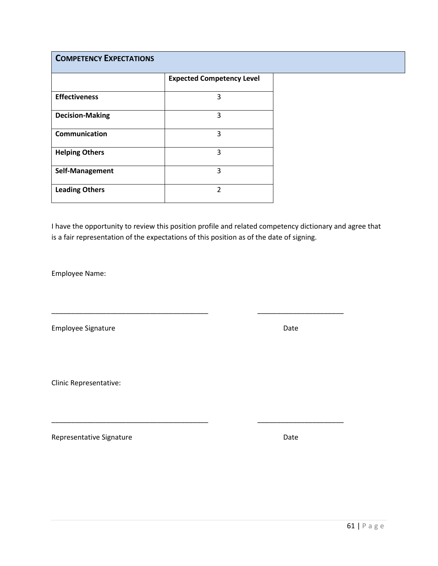# **COMPETENCY EXPECTATIONS**

|                        | <b>Expected Competency Level</b> |
|------------------------|----------------------------------|
| <b>Effectiveness</b>   | 3                                |
| <b>Decision-Making</b> | 3                                |
| <b>Communication</b>   | 3                                |
| <b>Helping Others</b>  | 3                                |
| Self-Management        | 3                                |
| <b>Leading Others</b>  | $\mathfrak z$                    |

I have the opportunity to review this position profile and related competency dictionary and agree that is a fair representation of the expectations of this position as of the date of signing.

\_\_\_\_\_\_\_\_\_\_\_\_\_\_\_\_\_\_\_\_\_\_\_\_\_\_\_\_\_\_\_\_\_\_\_\_\_\_\_\_ \_\_\_\_\_\_\_\_\_\_\_\_\_\_\_\_\_\_\_\_\_\_

\_\_\_\_\_\_\_\_\_\_\_\_\_\_\_\_\_\_\_\_\_\_\_\_\_\_\_\_\_\_\_\_\_\_\_\_\_\_\_\_ \_\_\_\_\_\_\_\_\_\_\_\_\_\_\_\_\_\_\_\_\_\_

Employee Name:

Employee Signature **Date** Date of Contract and Contract of Contract and Contract of Contract and Contract of Contract and Contract and Contract of Contract and Contract and Contract and Contract and Contract and Contract a

Clinic Representative: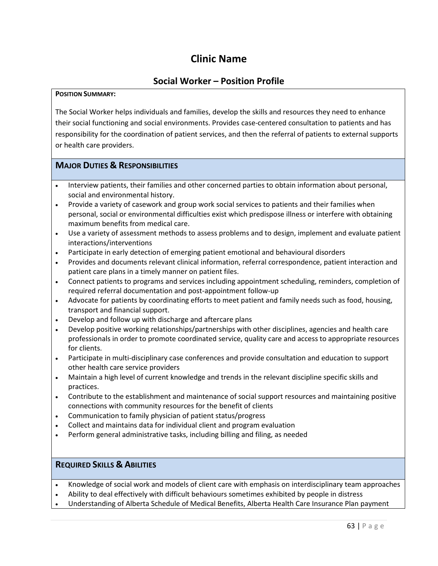# **Clinic Name**

# **Social Worker – Position Profile**

#### **POSITION SUMMARY:**

The Social Worker helps individuals and families, develop the skills and resources they need to enhance their social functioning and social environments. Provides case-centered consultation to patients and has responsibility for the coordination of patient services, and then the referral of patients to external supports or health care providers.

### **MAJOR DUTIES & RESPONSIBILITIES**

- Interview patients, their families and other concerned parties to obtain information about personal, social and environmental history.
- Provide a variety of casework and group work social services to patients and their families when personal, social or environmental difficulties exist which predispose illness or interfere with obtaining maximum benefits from medical care.
- Use a variety of assessment methods to assess problems and to design, implement and evaluate patient interactions/interventions
- Participate in early detection of emerging patient emotional and behavioural disorders
- Provides and documents relevant clinical information, referral correspondence, patient interaction and patient care plans in a timely manner on patient files.
- Connect patients to programs and services including appointment scheduling, reminders, completion of required referral documentation and post-appointment follow-up
- Advocate for patients by coordinating efforts to meet patient and family needs such as food, housing, transport and financial support.
- Develop and follow up with discharge and aftercare plans
- Develop positive working relationships/partnerships with other disciplines, agencies and health care professionals in order to promote coordinated service, quality care and access to appropriate resources for clients.
- Participate in multi-disciplinary case conferences and provide consultation and education to support other health care service providers
- Maintain a high level of current knowledge and trends in the relevant discipline specific skills and practices.
- Contribute to the establishment and maintenance of social support resources and maintaining positive connections with community resources for the benefit of clients
- Communication to family physician of patient status/progress
- Collect and maintains data for individual client and program evaluation
- Perform general administrative tasks, including billing and filing, as needed

# **REQUIRED SKILLS & ABILITIES**

- Knowledge of social work and models of client care with emphasis on interdisciplinary team approaches
- Ability to deal effectively with difficult behaviours sometimes exhibited by people in distress
- Understanding of Alberta Schedule of Medical Benefits, Alberta Health Care Insurance Plan payment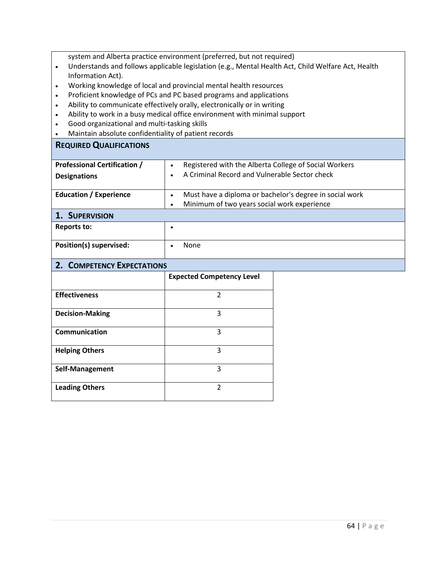system and Alberta practice environment (preferred, but not required)

- Understands and follows applicable legislation (e.g., Mental Health Act, Child Welfare Act, Health Information Act).
- Working knowledge of local and provincial mental health resources
- Proficient knowledge of PCs and PC based programs and applications
- Ability to communicate effectively orally, electronically or in writing
- Ability to work in a busy medical office environment with minimal support
- Good organizational and multi-tasking skills
- Maintain absolute confidentiality of patient records

### **REQUIRED QUALIFICATIONS**

| <b>Professional Certification /</b> | Registered with the Alberta College of Social Workers<br>$\bullet$   |
|-------------------------------------|----------------------------------------------------------------------|
| <b>Designations</b>                 | A Criminal Record and Vulnerable Sector check                        |
|                                     |                                                                      |
| <b>Education / Experience</b>       | Must have a diploma or bachelor's degree in social work<br>$\bullet$ |
|                                     | Minimum of two years social work experience<br>$\bullet$             |
| 1. SUPERVISION                      |                                                                      |
| <b>Reports to:</b>                  |                                                                      |
|                                     |                                                                      |
| Position(s) supervised:             | None                                                                 |
|                                     |                                                                      |

# **2. COMPETENCY EXPECTATIONS**

|                        | <b>Expected Competency Level</b> |
|------------------------|----------------------------------|
| <b>Effectiveness</b>   | 2                                |
| <b>Decision-Making</b> | 3                                |
| <b>Communication</b>   | 3                                |
| <b>Helping Others</b>  | 3                                |
| Self-Management        | 3                                |
| <b>Leading Others</b>  | $\mathfrak{p}$                   |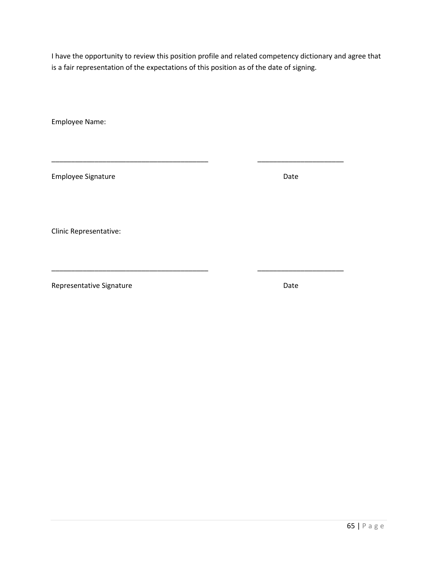\_\_\_\_\_\_\_\_\_\_\_\_\_\_\_\_\_\_\_\_\_\_\_\_\_\_\_\_\_\_\_\_\_\_\_\_\_\_\_\_ \_\_\_\_\_\_\_\_\_\_\_\_\_\_\_\_\_\_\_\_\_\_

Employee Name:

Employee Signature **Date** Date **Date** 

Clinic Representative:

Representative Signature **Date** Date

\_\_\_\_\_\_\_\_\_\_\_\_\_\_\_\_\_\_\_\_\_\_\_\_\_\_\_\_\_\_\_\_\_\_\_\_\_\_\_\_ \_\_\_\_\_\_\_\_\_\_\_\_\_\_\_\_\_\_\_\_\_\_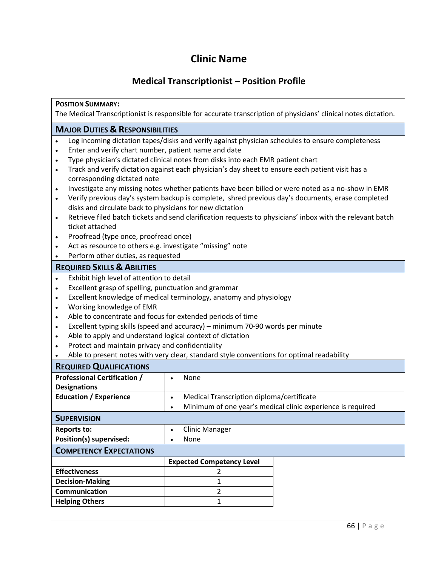# **Clinic Name**

# **Medical Transcriptionist – Position Profile**

# **POSITION SUMMARY:**

The Medical Transcriptionist is responsible for accurate transcription of physicians' clinical notes dictation.

# **MAJOR DUTIES & RESPONSIBILITIES**

- Log incoming dictation tapes/disks and verify against physician schedules to ensure completeness
- Enter and verify chart number, patient name and date
- Type physician's dictated clinical notes from disks into each EMR patient chart
- Track and verify dictation against each physician's day sheet to ensure each patient visit has a corresponding dictated note
- Investigate any missing notes whether patients have been billed or were noted as a no-show in EMR
- Verify previous day's system backup is complete, shred previous day's documents, erase completed disks and circulate back to physicians for new dictation
- Retrieve filed batch tickets and send clarification requests to physicians' inbox with the relevant batch ticket attached
- Proofread (type once, proofread once)
- Act as resource to others e.g. investigate "missing" note
- Perform other duties, as requested

### **REQUIRED SKILLS & ABILITIES**

- Exhibit high level of attention to detail
- Excellent grasp of spelling, punctuation and grammar
- Excellent knowledge of medical terminology, anatomy and physiology
- Working knowledge of EMR
- Able to concentrate and focus for extended periods of time
- Excellent typing skills (speed and accuracy) minimum 70-90 words per minute
- Able to apply and understand logical context of dictation
- Protect and maintain privacy and confidentiality
- Able to present notes with very clear, standard style conventions for optimal readability

| <b>REQUIRED QUALIFICATIONS</b>      |                                                             |  |
|-------------------------------------|-------------------------------------------------------------|--|
| <b>Professional Certification /</b> | None                                                        |  |
| <b>Designations</b>                 |                                                             |  |
| <b>Education / Experience</b>       | Medical Transcription diploma/certificate<br>$\bullet$      |  |
|                                     | Minimum of one year's medical clinic experience is required |  |
| <b>SUPERVISION</b>                  |                                                             |  |
| <b>Reports to:</b>                  | <b>Clinic Manager</b><br>$\bullet$                          |  |
| Position(s) supervised:             | None<br>$\bullet$                                           |  |
| <b>COMPETENCY EXPECTATIONS</b>      |                                                             |  |
|                                     | <b>Expected Competency Level</b>                            |  |
| <b>Effectiveness</b>                |                                                             |  |
| <b>Decision-Making</b>              |                                                             |  |
| <b>Communication</b>                | า                                                           |  |
| <b>Helping Others</b>               |                                                             |  |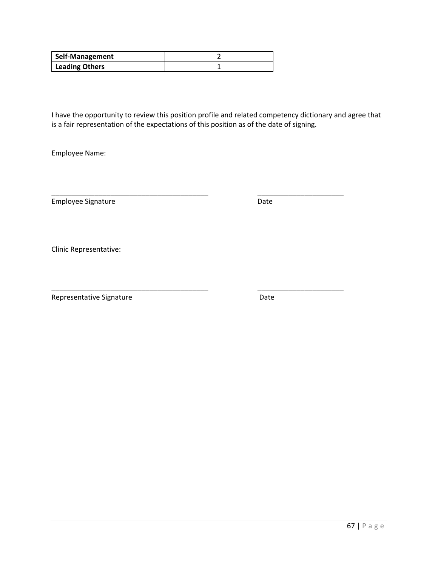| <b>Self-Management</b> |  |
|------------------------|--|
| <b>Leading Others</b>  |  |

\_\_\_\_\_\_\_\_\_\_\_\_\_\_\_\_\_\_\_\_\_\_\_\_\_\_\_\_\_\_\_\_\_\_\_\_\_\_\_\_ \_\_\_\_\_\_\_\_\_\_\_\_\_\_\_\_\_\_\_\_\_\_

\_\_\_\_\_\_\_\_\_\_\_\_\_\_\_\_\_\_\_\_\_\_\_\_\_\_\_\_\_\_\_\_\_\_\_\_\_\_\_\_ \_\_\_\_\_\_\_\_\_\_\_\_\_\_\_\_\_\_\_\_\_\_

Employee Name:

Employee Signature Date

Clinic Representative: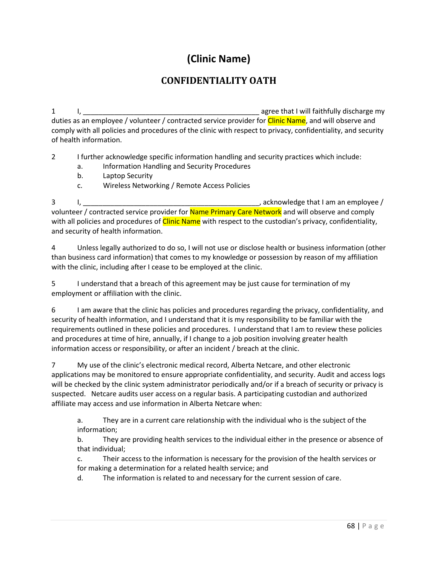# **(Clinic Name)**

# **CONFIDENTIALITY OATH**

1 I, \_\_\_\_\_\_\_\_\_\_\_\_\_\_\_\_\_\_\_\_\_\_\_\_\_\_\_\_\_\_\_\_\_\_\_\_\_\_\_\_\_\_\_\_\_ agree that I will faithfully discharge my duties as an employee / volunteer / contracted service provider for *Clinic Name*, and will observe and comply with all policies and procedures of the clinic with respect to privacy, confidentiality, and security of health information.

2 I further acknowledge specific information handling and security practices which include:

- a. Information Handling and Security Procedures
- b. Laptop Security
- c. Wireless Networking / Remote Access Policies

3 I, \_\_\_\_\_\_\_\_\_\_\_\_\_\_\_\_\_\_\_\_\_\_\_\_\_\_\_\_\_\_\_\_\_\_\_\_\_\_\_\_\_\_\_\_\_, acknowledge that I am an employee / volunteer / contracted service provider for Name Primary Care Network and will observe and comply with all policies and procedures of *Clinic Name* with respect to the custodian's privacy, confidentiality, and security of health information.

4 Unless legally authorized to do so, I will not use or disclose health or business information (other than business card information) that comes to my knowledge or possession by reason of my affiliation with the clinic, including after I cease to be employed at the clinic.

5 I understand that a breach of this agreement may be just cause for termination of my employment or affiliation with the clinic.

6 I am aware that the clinic has policies and procedures regarding the privacy, confidentiality, and security of health information, and I understand that it is my responsibility to be familiar with the requirements outlined in these policies and procedures. I understand that I am to review these policies and procedures at time of hire, annually, if I change to a job position involving greater health information access or responsibility, or after an incident / breach at the clinic.

7 My use of the clinic's electronic medical record, Alberta Netcare, and other electronic applications may be monitored to ensure appropriate confidentiality, and security. Audit and access logs will be checked by the clinic system administrator periodically and/or if a breach of security or privacy is suspected. Netcare audits user access on a regular basis. A participating custodian and authorized affiliate may access and use information in Alberta Netcare when:

a. They are in a current care relationship with the individual who is the subject of the information;

b. They are providing health services to the individual either in the presence or absence of that individual;

c. Their access to the information is necessary for the provision of the health services or for making a determination for a related health service; and

d. The information is related to and necessary for the current session of care.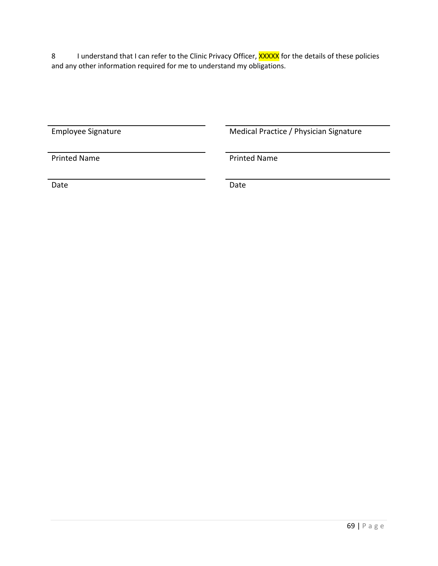8 I understand that I can refer to the Clinic Privacy Officer, **XXXXX** for the details of these policies and any other information required for me to understand my obligations.

Employee Signature **Medical Practice / Physician Signature** Medical Practice / Physician Signature

Printed Name **Printed Name** 

Date **Date** Date **Date** Date **Date**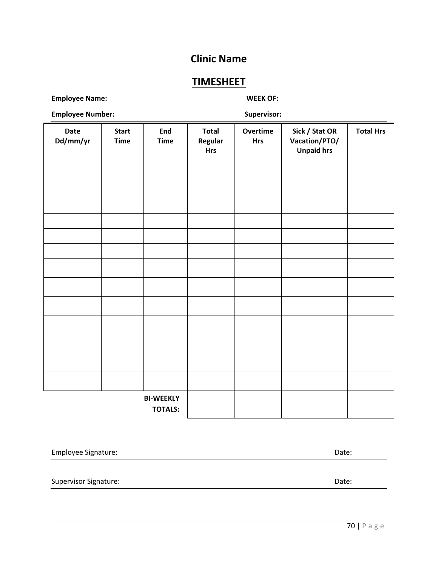# **Clinic Name**

# **TIMESHEET**

**Employee Name: WEEK OF:**

| <b>Employee Number:</b> |                             |                                    | Supervisor:                           |                        |                                                      |                  |
|-------------------------|-----------------------------|------------------------------------|---------------------------------------|------------------------|------------------------------------------------------|------------------|
| <b>Date</b><br>Dd/mm/yr | <b>Start</b><br><b>Time</b> | End<br><b>Time</b>                 | <b>Total</b><br>Regular<br><b>Hrs</b> | Overtime<br><b>Hrs</b> | Sick / Stat OR<br>Vacation/PTO/<br><b>Unpaid hrs</b> | <b>Total Hrs</b> |
|                         |                             |                                    |                                       |                        |                                                      |                  |
|                         |                             |                                    |                                       |                        |                                                      |                  |
|                         |                             |                                    |                                       |                        |                                                      |                  |
|                         |                             |                                    |                                       |                        |                                                      |                  |
|                         |                             |                                    |                                       |                        |                                                      |                  |
|                         |                             |                                    |                                       |                        |                                                      |                  |
|                         |                             |                                    |                                       |                        |                                                      |                  |
|                         |                             |                                    |                                       |                        |                                                      |                  |
|                         |                             |                                    |                                       |                        |                                                      |                  |
|                         |                             |                                    |                                       |                        |                                                      |                  |
|                         |                             |                                    |                                       |                        |                                                      |                  |
|                         |                             |                                    |                                       |                        |                                                      |                  |
|                         |                             |                                    |                                       |                        |                                                      |                  |
|                         |                             | <b>BI-WEEKLY</b><br><b>TOTALS:</b> |                                       |                        |                                                      |                  |

| Employee Signature:   | Date: |
|-----------------------|-------|
|                       |       |
| Supervisor Signature: | Date: |
|                       |       |
|                       |       |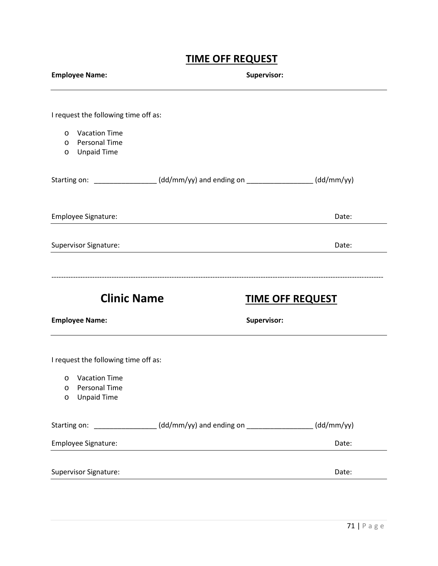# **TIME OFF REQUEST**

| <b>Employee Name:</b>                                                                                                                 |                                                                                  | Supervisor:             |  |  |
|---------------------------------------------------------------------------------------------------------------------------------------|----------------------------------------------------------------------------------|-------------------------|--|--|
| I request the following time off as:<br><b>Vacation Time</b><br>$\circ$<br>o Personal Time<br><b>Unpaid Time</b><br>$\circ$           |                                                                                  |                         |  |  |
|                                                                                                                                       | Starting on: ________________(dd/mm/yy) and ending on ________________(dd/mm/yy) |                         |  |  |
| Employee Signature:                                                                                                                   |                                                                                  | Date:                   |  |  |
| Supervisor Signature:                                                                                                                 |                                                                                  | Date:                   |  |  |
| <b>Clinic Name</b><br><b>Employee Name:</b>                                                                                           | Supervisor:                                                                      | <b>TIME OFF REQUEST</b> |  |  |
| I request the following time off as:<br><b>Vacation Time</b><br>$\circ$<br><b>Personal Time</b><br>O<br><b>Unpaid Time</b><br>$\circ$ |                                                                                  |                         |  |  |
| Starting on:<br>Employee Signature:                                                                                                   |                                                                                  | (dd/mm/yy)<br>Date:     |  |  |
| <b>Supervisor Signature:</b>                                                                                                          |                                                                                  | Date:                   |  |  |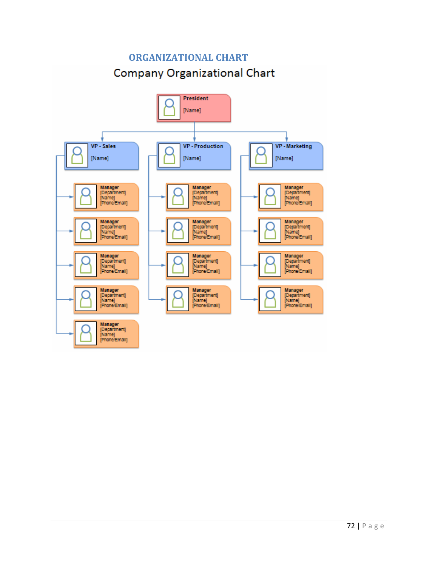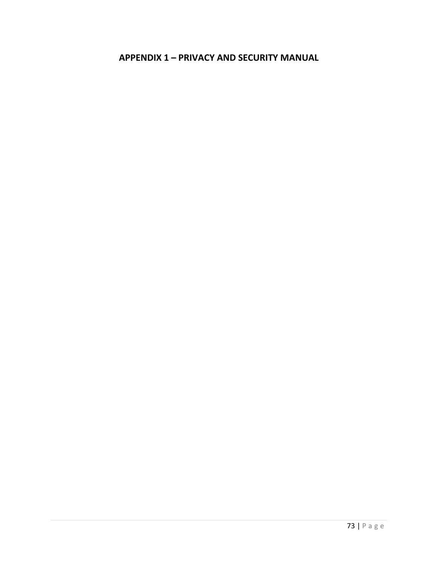#### **APPENDIX 1 - PRIVACY AND SECURITY MANUAL**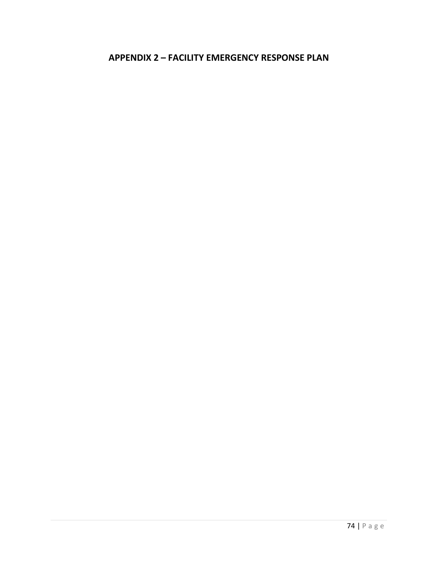#### **APPENDIX 2 - FACILITY EMERGENCY RESPONSE PLAN**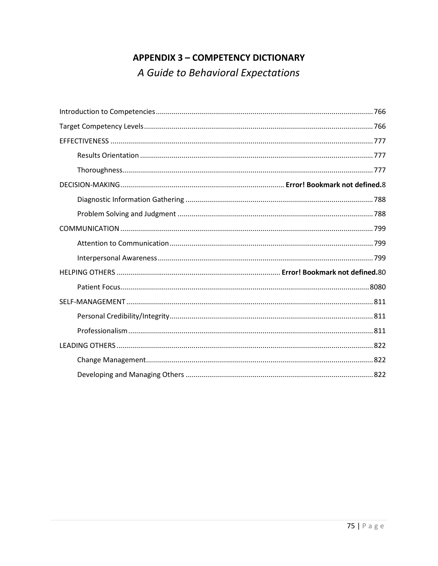# **APPENDIX 3 - COMPETENCY DICTIONARY** A Guide to Behavioral Expectations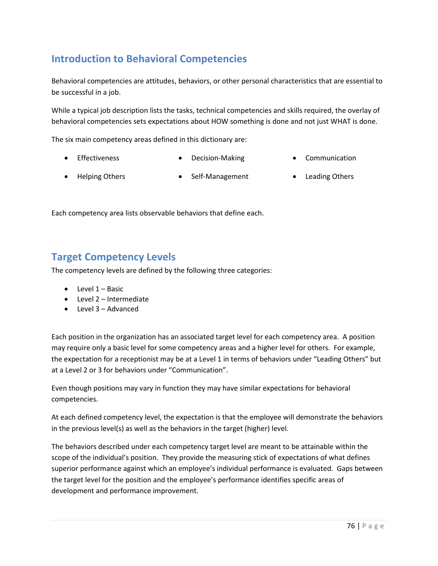## <span id="page-75-0"></span>**Introduction to Behavioral Competencies**

Behavioral competencies are attitudes, behaviors, or other personal characteristics that are essential to be successful in a job.

While a typical job description lists the tasks, technical competencies and skills required, the overlay of behavioral competencies sets expectations about HOW something is done and not just WHAT is done.

The six main competency areas defined in this dictionary are:

- Effectiveness Decision-Making Communication
- 
- Helping Others Self-Management Leading Others
- 

<span id="page-75-1"></span>Each competency area lists observable behaviors that define each.

#### **Target Competency Levels**

The competency levels are defined by the following three categories:

- Level 1 Basic
- Level 2 Intermediate
- Level 3 Advanced

Each position in the organization has an associated target level for each competency area. A position may require only a basic level for some competency areas and a higher level for others. For example, the expectation for a receptionist may be at a Level 1 in terms of behaviors under "Leading Others" but at a Level 2 or 3 for behaviors under "Communication".

Even though positions may vary in function they may have similar expectations for behavioral competencies.

At each defined competency level, the expectation is that the employee will demonstrate the behaviors in the previous level(s) as well as the behaviors in the target (higher) level.

The behaviors described under each competency target level are meant to be attainable within the scope of the individual's position. They provide the measuring stick of expectations of what defines superior performance against which an employee's individual performance is evaluated. Gaps between the target level for the position and the employee's performance identifies specific areas of development and performance improvement.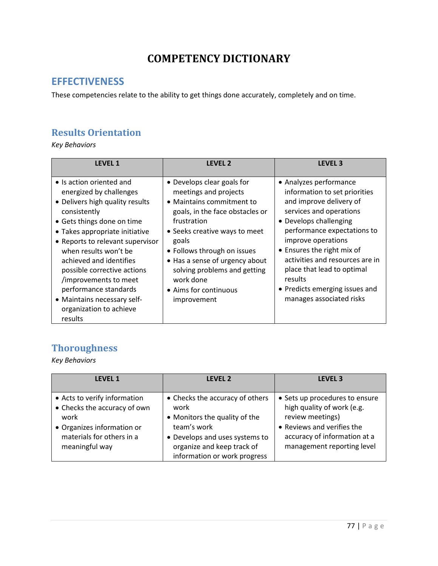## **COMPETENCY DICTIONARY**

#### <span id="page-76-0"></span>**EFFECTIVENESS**

These competencies relate to the ability to get things done accurately, completely and on time.

#### <span id="page-76-1"></span>**Results Orientation**

*Key Behaviors*

| <b>LEVEL 1</b>                                                                                                                                                                                                                                                                                                                                                                                                       | <b>LEVEL 2</b>                                                                                                                                                                                                                                                                                                                     | <b>LEVEL 3</b>                                                                                                                                                                                                                                                                                                                                                       |
|----------------------------------------------------------------------------------------------------------------------------------------------------------------------------------------------------------------------------------------------------------------------------------------------------------------------------------------------------------------------------------------------------------------------|------------------------------------------------------------------------------------------------------------------------------------------------------------------------------------------------------------------------------------------------------------------------------------------------------------------------------------|----------------------------------------------------------------------------------------------------------------------------------------------------------------------------------------------------------------------------------------------------------------------------------------------------------------------------------------------------------------------|
| • Is action oriented and<br>energized by challenges<br>• Delivers high quality results<br>consistently<br>• Gets things done on time<br>• Takes appropriate initiative<br>• Reports to relevant supervisor<br>when results won't be<br>achieved and identifies<br>possible corrective actions<br>/improvements to meet<br>performance standards<br>• Maintains necessary self-<br>organization to achieve<br>results | • Develops clear goals for<br>meetings and projects<br>• Maintains commitment to<br>goals, in the face obstacles or<br>frustration<br>• Seeks creative ways to meet<br>goals<br>• Follows through on issues<br>• Has a sense of urgency about<br>solving problems and getting<br>work done<br>• Aims for continuous<br>improvement | • Analyzes performance<br>information to set priorities<br>and improve delivery of<br>services and operations<br>• Develops challenging<br>performance expectations to<br>improve operations<br>• Ensures the right mix of<br>activities and resources are in<br>place that lead to optimal<br>results<br>• Predicts emerging issues and<br>manages associated risks |

### <span id="page-76-2"></span>**Thoroughness**

| <b>LEVEL 1</b>                                                                                                                                    | LEVEL 2                                                                                                                                                                                 | LEVEL <sub>3</sub>                                                                                                                                                           |  |
|---------------------------------------------------------------------------------------------------------------------------------------------------|-----------------------------------------------------------------------------------------------------------------------------------------------------------------------------------------|------------------------------------------------------------------------------------------------------------------------------------------------------------------------------|--|
| • Acts to verify information<br>• Checks the accuracy of own<br>work<br>• Organizes information or<br>materials for others in a<br>meaningful way | • Checks the accuracy of others<br>work<br>• Monitors the quality of the<br>team's work<br>• Develops and uses systems to<br>organize and keep track of<br>information or work progress | • Sets up procedures to ensure<br>high quality of work (e.g.<br>review meetings)<br>• Reviews and verifies the<br>accuracy of information at a<br>management reporting level |  |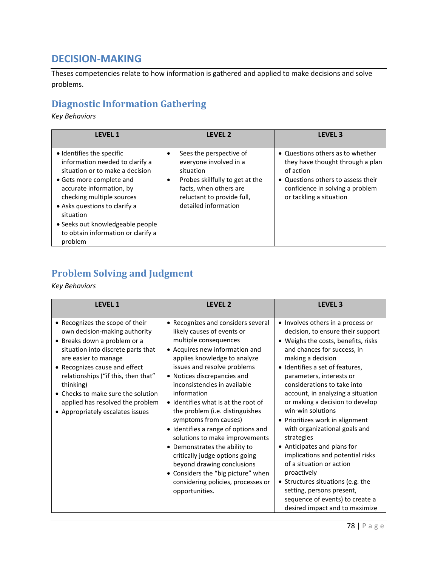### **DECISION-MAKING**

Theses competencies relate to how information is gathered and applied to make decisions and solve problems.

### <span id="page-77-0"></span>**Diagnostic Information Gathering**

*Key Behaviors*

| <b>LEVEL 1</b>                                                                                                                                                                                                                                                                                                          | <b>LEVEL 2</b>                                                                                                                                                                                 | <b>LEVEL 3</b>                                                                                                                                                                        |
|-------------------------------------------------------------------------------------------------------------------------------------------------------------------------------------------------------------------------------------------------------------------------------------------------------------------------|------------------------------------------------------------------------------------------------------------------------------------------------------------------------------------------------|---------------------------------------------------------------------------------------------------------------------------------------------------------------------------------------|
| • Identifies the specific<br>information needed to clarify a<br>situation or to make a decision<br>• Gets more complete and<br>accurate information, by<br>checking multiple sources<br>• Asks questions to clarify a<br>situation<br>• Seeks out knowledgeable people<br>to obtain information or clarify a<br>problem | Sees the perspective of<br>everyone involved in a<br>situation<br>Probes skillfully to get at the<br>$\bullet$<br>facts, when others are<br>reluctant to provide full,<br>detailed information | • Questions others as to whether<br>they have thought through a plan<br>of action<br>• Questions others to assess their<br>confidence in solving a problem<br>or tackling a situation |

### **Problem Solving and Judgment**

| <b>LEVEL 1</b>                                                                                                                                                                                                                                                                                                                                                    | LEVEL <sub>2</sub>                                                                                                                                                                                                                                                                                                                                                                                                                                                                                                                                                                                                                                  | <b>LEVEL 3</b>                                                                                                                                                                                                                                                                                                                                                                                                                                                                                                                                                                                                                                                                                      |
|-------------------------------------------------------------------------------------------------------------------------------------------------------------------------------------------------------------------------------------------------------------------------------------------------------------------------------------------------------------------|-----------------------------------------------------------------------------------------------------------------------------------------------------------------------------------------------------------------------------------------------------------------------------------------------------------------------------------------------------------------------------------------------------------------------------------------------------------------------------------------------------------------------------------------------------------------------------------------------------------------------------------------------------|-----------------------------------------------------------------------------------------------------------------------------------------------------------------------------------------------------------------------------------------------------------------------------------------------------------------------------------------------------------------------------------------------------------------------------------------------------------------------------------------------------------------------------------------------------------------------------------------------------------------------------------------------------------------------------------------------------|
| • Recognizes the scope of their<br>own decision-making authority<br>• Breaks down a problem or a<br>situation into discrete parts that<br>are easier to manage<br>• Recognizes cause and effect<br>relationships ("if this, then that"<br>thinking)<br>• Checks to make sure the solution<br>applied has resolved the problem<br>• Appropriately escalates issues | • Recognizes and considers several<br>likely causes of events or<br>multiple consequences<br>• Acquires new information and<br>applies knowledge to analyze<br>issues and resolve problems<br>• Notices discrepancies and<br>inconsistencies in available<br>information<br>• Identifies what is at the root of<br>the problem (i.e. distinguishes<br>symptoms from causes)<br>• Identifies a range of options and<br>solutions to make improvements<br>• Demonstrates the ability to<br>critically judge options going<br>beyond drawing conclusions<br>• Considers the "big picture" when<br>considering policies, processes or<br>opportunities. | • Involves others in a process or<br>decision, to ensure their support<br>• Weighs the costs, benefits, risks<br>and chances for success, in<br>making a decision<br>• Identifies a set of features,<br>parameters, interests or<br>considerations to take into<br>account, in analyzing a situation<br>or making a decision to develop<br>win-win solutions<br>• Prioritizes work in alignment<br>with organizational goals and<br>strategies<br>• Anticipates and plans for<br>implications and potential risks<br>of a situation or action<br>proactively<br>• Structures situations (e.g. the<br>setting, persons present,<br>sequence of events) to create a<br>desired impact and to maximize |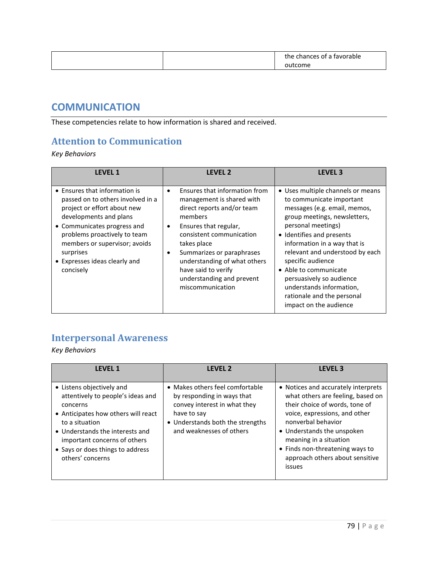<span id="page-78-0"></span>

|  | *h⊢<br>$\sim$<br>$\sim$ $\sim$ $\sim$ $\sim$<br>abie |
|--|------------------------------------------------------|
|  |                                                      |

#### **COMMUNICATION**

These competencies relate to how information is shared and received.

#### <span id="page-78-1"></span>**Attention to Communication**

*Key Behaviors*

| <b>LEVEL 1</b>                                                                                                                                                                                                                                                                         | LEVEL <sub>2</sub>                                                                                                                                                                                                                                                                                                                                  | <b>LEVEL 3</b>                                                                                                                                                                                                                                                                                                                                                                                                    |
|----------------------------------------------------------------------------------------------------------------------------------------------------------------------------------------------------------------------------------------------------------------------------------------|-----------------------------------------------------------------------------------------------------------------------------------------------------------------------------------------------------------------------------------------------------------------------------------------------------------------------------------------------------|-------------------------------------------------------------------------------------------------------------------------------------------------------------------------------------------------------------------------------------------------------------------------------------------------------------------------------------------------------------------------------------------------------------------|
| • Ensures that information is<br>passed on to others involved in a<br>project or effort about new<br>developments and plans<br>• Communicates progress and<br>problems proactively to team<br>members or supervisor; avoids<br>surprises<br>• Expresses ideas clearly and<br>concisely | Ensures that information from<br>$\bullet$<br>management is shared with<br>direct reports and/or team<br>members<br>Ensures that regular,<br>$\bullet$<br>consistent communication<br>takes place<br>Summarizes or paraphrases<br>$\bullet$<br>understanding of what others<br>have said to verify<br>understanding and prevent<br>miscommunication | • Uses multiple channels or means<br>to communicate important<br>messages (e.g. email, memos,<br>group meetings, newsletters,<br>personal meetings)<br>• Identifies and presents<br>information in a way that is<br>relevant and understood by each<br>specific audience<br>• Able to communicate<br>persuasively so audience<br>understands information,<br>rationale and the personal<br>impact on the audience |

### <span id="page-78-2"></span>**Interpersonal Awareness**

| <b>LFVFL1</b>                                                                                                                                                                                                                                                  | <b>LFVFL 2</b>                                                                                                                                                               | <b>LEVEL 3</b>                                                                                                                                                                                                                                                                                            |
|----------------------------------------------------------------------------------------------------------------------------------------------------------------------------------------------------------------------------------------------------------------|------------------------------------------------------------------------------------------------------------------------------------------------------------------------------|-----------------------------------------------------------------------------------------------------------------------------------------------------------------------------------------------------------------------------------------------------------------------------------------------------------|
| • Listens objectively and<br>attentively to people's ideas and<br>concerns<br>• Anticipates how others will react<br>to a situation<br>• Understands the interests and<br>important concerns of others<br>• Says or does things to address<br>others' concerns | • Makes others feel comfortable<br>by responding in ways that<br>convey interest in what they<br>have to say<br>• Understands both the strengths<br>and weaknesses of others | • Notices and accurately interprets<br>what others are feeling, based on<br>their choice of words, tone of<br>voice, expressions, and other<br>nonverbal behavior<br>• Understands the unspoken<br>meaning in a situation<br>• Finds non-threatening ways to<br>approach others about sensitive<br>issues |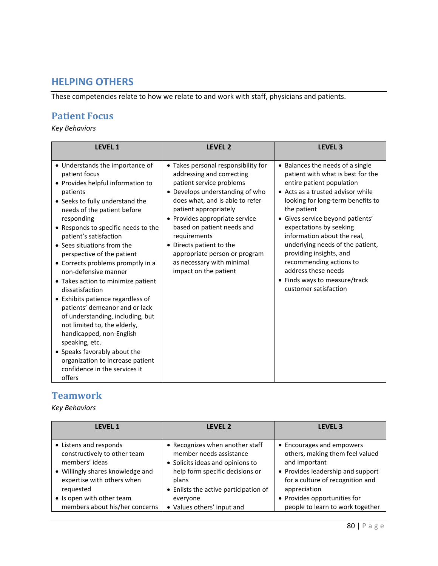#### **HELPING OTHERS**

These competencies relate to how we relate to and work with staff, physicians and patients.

#### <span id="page-79-0"></span>**Patient Focus**

*Key Behaviors*

| <b>LEVEL 1</b>                                                                                                                                                                                                                                                                                                                                                                                                                                                                                                                                                                                                                                                                                                                               | <b>LEVEL 2</b>                                                                                                                                                                                                                                                                                                                                                                                 | <b>LEVEL 3</b>                                                                                                                                                                                                                                                                                                                                                                                                                                                       |
|----------------------------------------------------------------------------------------------------------------------------------------------------------------------------------------------------------------------------------------------------------------------------------------------------------------------------------------------------------------------------------------------------------------------------------------------------------------------------------------------------------------------------------------------------------------------------------------------------------------------------------------------------------------------------------------------------------------------------------------------|------------------------------------------------------------------------------------------------------------------------------------------------------------------------------------------------------------------------------------------------------------------------------------------------------------------------------------------------------------------------------------------------|----------------------------------------------------------------------------------------------------------------------------------------------------------------------------------------------------------------------------------------------------------------------------------------------------------------------------------------------------------------------------------------------------------------------------------------------------------------------|
| • Understands the importance of<br>patient focus<br>• Provides helpful information to<br>patients<br>• Seeks to fully understand the<br>needs of the patient before<br>responding<br>• Responds to specific needs to the<br>patient's satisfaction<br>• Sees situations from the<br>perspective of the patient<br>• Corrects problems promptly in a<br>non-defensive manner<br>• Takes action to minimize patient<br>dissatisfaction<br>• Exhibits patience regardless of<br>patients' demeanor and or lack<br>of understanding, including, but<br>not limited to, the elderly,<br>handicapped, non-English<br>speaking, etc.<br>• Speaks favorably about the<br>organization to increase patient<br>confidence in the services it<br>offers | • Takes personal responsibility for<br>addressing and correcting<br>patient service problems<br>• Develops understanding of who<br>does what, and is able to refer<br>patient appropriately<br>• Provides appropriate service<br>based on patient needs and<br>requirements<br>• Directs patient to the<br>appropriate person or program<br>as necessary with minimal<br>impact on the patient | • Balances the needs of a single<br>patient with what is best for the<br>entire patient population<br>• Acts as a trusted advisor while<br>looking for long-term benefits to<br>the patient<br>• Gives service beyond patients'<br>expectations by seeking<br>information about the real,<br>underlying needs of the patient,<br>providing insights, and<br>recommending actions to<br>address these needs<br>• Finds ways to measure/track<br>customer satisfaction |

#### **Teamwork**

| <b>LEVEL 1</b>                   | <b>LEVEL 2</b>                        | <b>LEVEL 3</b>                    |
|----------------------------------|---------------------------------------|-----------------------------------|
| • Listens and responds           | • Recognizes when another staff       | • Encourages and empowers         |
| constructively to other team     | member needs assistance               | others, making them feel valued   |
| members' ideas                   | • Solicits ideas and opinions to      | and important                     |
| • Willingly shares knowledge and | help form specific decisions or       | • Provides leadership and support |
| expertise with others when       | plans                                 | for a culture of recognition and  |
| requested                        | • Enlists the active participation of | appreciation                      |
| • Is open with other team        | everyone                              | • Provides opportunities for      |
| members about his/her concerns   | • Values others' input and            | people to learn to work together  |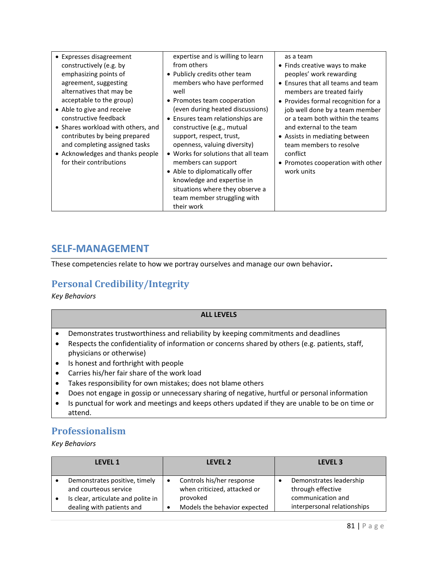| • Expresses disagreement           | expertise and is willing to learn   | as a team                           |
|------------------------------------|-------------------------------------|-------------------------------------|
| constructively (e.g. by            | from others                         | • Finds creative ways to make       |
| emphasizing points of              | • Publicly credits other team       | peoples' work rewarding             |
| agreement, suggesting              | members who have performed          | • Ensures that all teams and team   |
| alternatives that may be           | well                                | members are treated fairly          |
| acceptable to the group)           | • Promotes team cooperation         | • Provides formal recognition for a |
| • Able to give and receive         | (even during heated discussions)    | job well done by a team member      |
| constructive feedback              | • Ensures team relationships are    | or a team both within the teams     |
| • Shares workload with others, and | constructive (e.g., mutual          | and external to the team            |
| contributes by being prepared      | support, respect, trust,            | • Assists in mediating between      |
| and completing assigned tasks      | openness, valuing diversity)        | team members to resolve             |
| • Acknowledges and thanks people   | • Works for solutions that all team | conflict                            |
| for their contributions            | members can support                 | • Promotes cooperation with other   |
|                                    | • Able to diplomatically offer      | work units                          |
|                                    | knowledge and expertise in          |                                     |
|                                    | situations where they observe a     |                                     |
|                                    | team member struggling with         |                                     |
|                                    | their work                          |                                     |
|                                    |                                     |                                     |

#### <span id="page-80-0"></span>**SELF-MANAGEMENT**

These competencies relate to how we portray ourselves and manage our own behavior**.**

### <span id="page-80-1"></span>**Personal Credibility/Integrity**

*Key Behaviors*

#### **ALL LEVELS**

- Demonstrates trustworthiness and reliability by keeping commitments and deadlines
- Respects the confidentiality of information or concerns shared by others (e.g. patients, staff, physicians or otherwise)
- Is honest and forthright with people
- Carries his/her fair share of the work load
- Takes responsibility for own mistakes; does not blame others
- Does not engage in gossip or unnecessary sharing of negative, hurtful or personal information
- Is punctual for work and meetings and keeps others updated if they are unable to be on time or attend.

### <span id="page-80-2"></span>**Professionalism**

| <b>LEVEL 1</b> |                                                                                                                           | <b>LEVEL 2</b> |                                                                                                       | LEVEL <sub>3</sub> |                                                                                                  |
|----------------|---------------------------------------------------------------------------------------------------------------------------|----------------|-------------------------------------------------------------------------------------------------------|--------------------|--------------------------------------------------------------------------------------------------|
|                | Demonstrates positive, timely<br>and courteous service<br>Is clear, articulate and polite in<br>dealing with patients and |                | Controls his/her response<br>when criticized, attacked or<br>provoked<br>Models the behavior expected |                    | Demonstrates leadership<br>through effective<br>communication and<br>interpersonal relationships |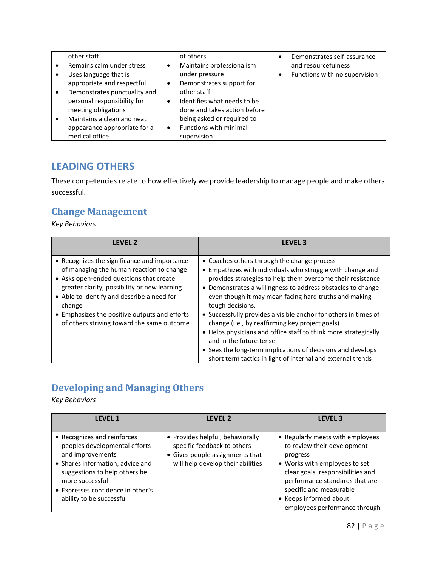| other staff                  |           | of others                    | Demonstrates self-assurance   |
|------------------------------|-----------|------------------------------|-------------------------------|
| Remains calm under stress    | $\bullet$ | Maintains professionalism    | and resourcefulness           |
| Uses language that is        |           | under pressure               | Functions with no supervision |
| appropriate and respectful   | ٠         | Demonstrates support for     |                               |
| Demonstrates punctuality and |           | other staff                  |                               |
| personal responsibility for  | $\bullet$ | Identifies what needs to be  |                               |
| meeting obligations          |           | done and takes action before |                               |
| Maintains a clean and neat   |           | being asked or required to   |                               |
| appearance appropriate for a | $\bullet$ | Functions with minimal       |                               |
| medical office               |           | supervision                  |                               |

### <span id="page-81-0"></span>**LEADING OTHERS**

These competencies relate to how effectively we provide leadership to manage people and make others successful.

#### <span id="page-81-1"></span>**Change Management**

*Key Behaviors*

| LEVEL <sub>2</sub>                                                                                                                                                                                                                                                                                                                         | <b>LEVEL 3</b>                                                                                                                                                                                                                                                                                                                                                                                                                                                                                                                                                                                                                                                        |
|--------------------------------------------------------------------------------------------------------------------------------------------------------------------------------------------------------------------------------------------------------------------------------------------------------------------------------------------|-----------------------------------------------------------------------------------------------------------------------------------------------------------------------------------------------------------------------------------------------------------------------------------------------------------------------------------------------------------------------------------------------------------------------------------------------------------------------------------------------------------------------------------------------------------------------------------------------------------------------------------------------------------------------|
| • Recognizes the significance and importance<br>of managing the human reaction to change<br>• Asks open-ended questions that create<br>greater clarity, possibility or new learning<br>• Able to identify and describe a need for<br>change<br>• Emphasizes the positive outputs and efforts<br>of others striving toward the same outcome | • Coaches others through the change process<br>• Empathizes with individuals who struggle with change and<br>provides strategies to help them overcome their resistance<br>• Demonstrates a willingness to address obstacles to change<br>even though it may mean facing hard truths and making<br>tough decisions.<br>• Successfully provides a visible anchor for others in times of<br>change (i.e., by reaffirming key project goals)<br>• Helps physicians and office staff to think more strategically<br>and in the future tense<br>• Sees the long-term implications of decisions and develops<br>short term tactics in light of internal and external trends |

## <span id="page-81-2"></span>**Developing and Managing Others**

| <b>LFVFL1</b>                                                                                                                                                                                                                             | <b>LEVEL 2</b>                                                                                                                          | <b>LEVEL 3</b>                                                                                                                                                                                                                                                            |
|-------------------------------------------------------------------------------------------------------------------------------------------------------------------------------------------------------------------------------------------|-----------------------------------------------------------------------------------------------------------------------------------------|---------------------------------------------------------------------------------------------------------------------------------------------------------------------------------------------------------------------------------------------------------------------------|
| • Recognizes and reinforces<br>peoples developmental efforts<br>and improvements<br>• Shares information, advice and<br>suggestions to help others be<br>more successful<br>• Expresses confidence in other's<br>ability to be successful | • Provides helpful, behaviorally<br>specific feedback to others<br>• Gives people assignments that<br>will help develop their abilities | • Regularly meets with employees<br>to review their development<br>progress<br>• Works with employees to set<br>clear goals, responsibilities and<br>performance standards that are<br>specific and measurable<br>• Keeps informed about<br>employees performance through |